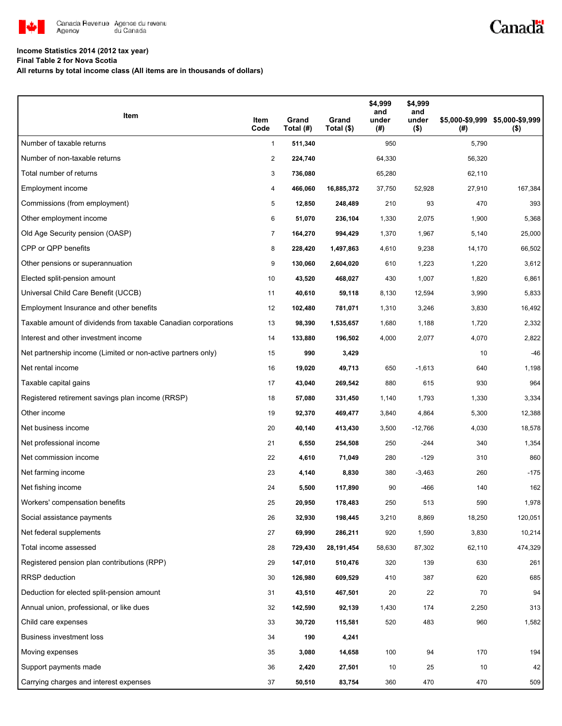

## Canadä

### **Income Statistics 2014 (2012 tax year)**

**Final Table 2 for Nova Scotia**

**All returns by total income class (All items are in thousands of dollars)**

| Item                                                           | Item<br>Code   | Grand<br>Total (#) | Grand<br>Total (\$) | \$4,999<br>and<br>under<br>(#) | \$4,999<br>and<br>under<br>$($ \$) | (#)    | \$5,000-\$9,999 \$5,000-\$9,999<br>$($ \$) |
|----------------------------------------------------------------|----------------|--------------------|---------------------|--------------------------------|------------------------------------|--------|--------------------------------------------|
| Number of taxable returns                                      | $\mathbf{1}$   | 511,340            |                     | 950                            |                                    | 5,790  |                                            |
| Number of non-taxable returns                                  | $\overline{c}$ | 224,740            |                     | 64,330                         |                                    | 56,320 |                                            |
| Total number of returns                                        | 3              | 736,080            |                     | 65,280                         |                                    | 62,110 |                                            |
| Employment income                                              | 4              | 466,060            | 16,885,372          | 37,750                         | 52,928                             | 27,910 | 167,384                                    |
| Commissions (from employment)                                  | 5              | 12,850             | 248,489             | 210                            | 93                                 | 470    | 393                                        |
| Other employment income                                        | 6              | 51,070             | 236,104             | 1,330                          | 2,075                              | 1,900  | 5,368                                      |
| Old Age Security pension (OASP)                                | $\overline{7}$ | 164,270            | 994,429             | 1,370                          | 1,967                              | 5,140  | 25,000                                     |
| CPP or QPP benefits                                            | 8              | 228,420            | 1,497,863           | 4,610                          | 9,238                              | 14,170 | 66,502                                     |
| Other pensions or superannuation                               | 9              | 130,060            | 2,604,020           | 610                            | 1,223                              | 1,220  | 3,612                                      |
| Elected split-pension amount                                   | 10             | 43,520             | 468,027             | 430                            | 1,007                              | 1,820  | 6,861                                      |
| Universal Child Care Benefit (UCCB)                            | 11             | 40,610             | 59,118              | 8,130                          | 12,594                             | 3,990  | 5,833                                      |
| Employment Insurance and other benefits                        | 12             | 102,480            | 781,071             | 1,310                          | 3,246                              | 3,830  | 16,492                                     |
| Taxable amount of dividends from taxable Canadian corporations | 13             | 98,390             | 1,535,657           | 1,680                          | 1,188                              | 1,720  | 2,332                                      |
| Interest and other investment income                           | 14             | 133,880            | 196,502             | 4,000                          | 2,077                              | 4,070  | 2,822                                      |
| Net partnership income (Limited or non-active partners only)   | 15             | 990                | 3,429               |                                |                                    | 10     | $-46$                                      |
| Net rental income                                              | 16             | 19,020             | 49,713              | 650                            | $-1,613$                           | 640    | 1,198                                      |
| Taxable capital gains                                          | 17             | 43,040             | 269,542             | 880                            | 615                                | 930    | 964                                        |
| Registered retirement savings plan income (RRSP)               | 18             | 57,080             | 331,450             | 1,140                          | 1,793                              | 1,330  | 3,334                                      |
| Other income                                                   | 19             | 92,370             | 469,477             | 3,840                          | 4,864                              | 5,300  | 12,388                                     |
| Net business income                                            | 20             | 40,140             | 413,430             | 3,500                          | $-12,766$                          | 4,030  | 18,578                                     |
| Net professional income                                        | 21             | 6,550              | 254,508             | 250                            | $-244$                             | 340    | 1,354                                      |
| Net commission income                                          | 22             | 4,610              | 71,049              | 280                            | $-129$                             | 310    | 860                                        |
| Net farming income                                             | 23             | 4,140              | 8,830               | 380                            | $-3,463$                           | 260    | $-175$                                     |
| Net fishing income                                             | 24             | 5,500              | 117,890             | 90                             | $-466$                             | 140    | 162                                        |
| Workers' compensation benefits                                 | 25             | 20,950             | 178,483             | 250                            | 513                                | 590    | 1,978                                      |
| Social assistance payments                                     | 26             | 32,930             | 198,445             | 3,210                          | 8,869                              | 18,250 | 120,051                                    |
| Net federal supplements                                        | 27             | 69,990             | 286,211             | 920                            | 1,590                              | 3,830  | 10,214                                     |
| Total income assessed                                          | 28             | 729,430            | 28, 191, 454        | 58,630                         | 87,302                             | 62,110 | 474,329                                    |
| Registered pension plan contributions (RPP)                    | 29             | 147,010            | 510,476             | 320                            | 139                                | 630    | 261                                        |
| <b>RRSP</b> deduction                                          | 30             | 126,980            | 609,529             | 410                            | 387                                | 620    | 685                                        |
| Deduction for elected split-pension amount                     | 31             | 43,510             | 467,501             | 20                             | 22                                 | 70     | 94                                         |
| Annual union, professional, or like dues                       | 32             | 142,590            | 92,139              | 1,430                          | 174                                | 2,250  | 313                                        |
| Child care expenses                                            | 33             | 30,720             | 115,581             | 520                            | 483                                | 960    | 1,582                                      |
| Business investment loss                                       | 34             | 190                | 4,241               |                                |                                    |        |                                            |
| Moving expenses                                                | 35             | 3,080              | 14,658              | 100                            | 94                                 | 170    | 194                                        |
| Support payments made                                          | 36             | 2,420              | 27,501              | 10                             | 25                                 | 10     | 42                                         |
| Carrying charges and interest expenses                         | 37             | 50,510             | 83,754              | 360                            | 470                                | 470    | 509                                        |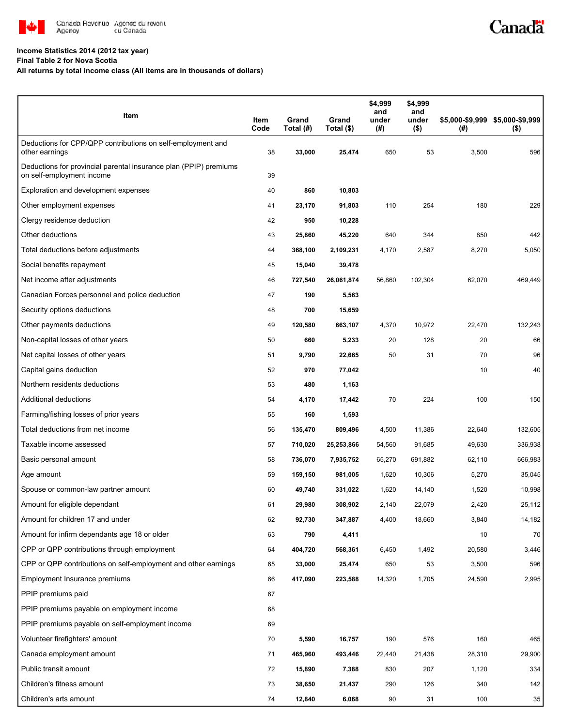

#### **Income Statistics 2014 (2012 tax year)**

**Final Table 2 for Nova Scotia**

**All returns by total income class (All items are in thousands of dollars)**

| Item                                                                                           | Item<br>Code | Grand<br>Total (#) | Grand<br>Total (\$) | \$4,999<br>and<br>under<br>(#) | \$4,999<br>and<br>under<br>$($ \$) | \$5,000-\$9,999 \$5,000-\$9,999<br>(# ) | $($ \$) |
|------------------------------------------------------------------------------------------------|--------------|--------------------|---------------------|--------------------------------|------------------------------------|-----------------------------------------|---------|
| Deductions for CPP/QPP contributions on self-employment and<br>other earnings                  | 38           | 33,000             | 25,474              | 650                            | 53                                 | 3,500                                   | 596     |
| Deductions for provincial parental insurance plan (PPIP) premiums<br>on self-employment income | 39           |                    |                     |                                |                                    |                                         |         |
| Exploration and development expenses                                                           | 40           | 860                | 10,803              |                                |                                    |                                         |         |
| Other employment expenses                                                                      | 41           | 23,170             | 91,803              | 110                            | 254                                | 180                                     | 229     |
| Clergy residence deduction                                                                     | 42           | 950                | 10,228              |                                |                                    |                                         |         |
| Other deductions                                                                               | 43           | 25,860             | 45,220              | 640                            | 344                                | 850                                     | 442     |
| Total deductions before adjustments                                                            | 44           | 368,100            | 2,109,231           | 4,170                          | 2,587                              | 8,270                                   | 5,050   |
| Social benefits repayment                                                                      | 45           | 15,040             | 39,478              |                                |                                    |                                         |         |
| Net income after adjustments                                                                   | 46           | 727,540            | 26,061,874          | 56,860                         | 102,304                            | 62,070                                  | 469,449 |
| Canadian Forces personnel and police deduction                                                 | 47           | 190                | 5,563               |                                |                                    |                                         |         |
| Security options deductions                                                                    | 48           | 700                | 15,659              |                                |                                    |                                         |         |
| Other payments deductions                                                                      | 49           | 120,580            | 663,107             | 4,370                          | 10,972                             | 22,470                                  | 132,243 |
| Non-capital losses of other years                                                              | 50           | 660                | 5,233               | 20                             | 128                                | 20                                      | 66      |
| Net capital losses of other years                                                              | 51           | 9,790              | 22,665              | 50                             | 31                                 | 70                                      | 96      |
| Capital gains deduction                                                                        | 52           | 970                | 77,042              |                                |                                    | 10                                      | 40      |
| Northern residents deductions                                                                  | 53           | 480                | 1,163               |                                |                                    |                                         |         |
| Additional deductions                                                                          | 54           | 4,170              | 17,442              | 70                             | 224                                | 100                                     | 150     |
| Farming/fishing losses of prior years                                                          | 55           | 160                | 1,593               |                                |                                    |                                         |         |
| Total deductions from net income                                                               | 56           | 135,470            | 809,496             | 4,500                          | 11,386                             | 22,640                                  | 132,605 |
| Taxable income assessed                                                                        | 57           | 710,020            | 25,253,866          | 54,560                         | 91,685                             | 49,630                                  | 336,938 |
| Basic personal amount                                                                          | 58           | 736,070            | 7,935,752           | 65,270                         | 691,882                            | 62,110                                  | 666,983 |
| Age amount                                                                                     | 59           | 159,150            | 981,005             | 1,620                          | 10,306                             | 5,270                                   | 35,045  |
| Spouse or common-law partner amount                                                            | 60           | 49,740             | 331,022             | 1,620                          | 14,140                             | 1,520                                   | 10,998  |
| Amount for eligible dependant                                                                  | 61           | 29,980             | 308,902             | 2,140                          | 22,079                             | 2,420                                   | 25,112  |
| Amount for children 17 and under                                                               | 62           | 92,730             | 347,887             | 4,400                          | 18,660                             | 3,840                                   | 14,182  |
| Amount for infirm dependants age 18 or older                                                   | 63           | 790                | 4,411               |                                |                                    | 10                                      | 70      |
| CPP or QPP contributions through employment                                                    | 64           | 404,720            | 568,361             | 6,450                          | 1,492                              | 20,580                                  | 3,446   |
| CPP or QPP contributions on self-employment and other earnings                                 | 65           | 33,000             | 25,474              | 650                            | 53                                 | 3,500                                   | 596     |
| Employment Insurance premiums                                                                  | 66           | 417,090            | 223,588             | 14,320                         | 1,705                              | 24,590                                  | 2,995   |
| PPIP premiums paid                                                                             | 67           |                    |                     |                                |                                    |                                         |         |
| PPIP premiums payable on employment income                                                     | 68           |                    |                     |                                |                                    |                                         |         |
| PPIP premiums payable on self-employment income                                                | 69           |                    |                     |                                |                                    |                                         |         |
| Volunteer firefighters' amount                                                                 | 70           | 5,590              | 16,757              | 190                            | 576                                | 160                                     | 465     |
| Canada employment amount                                                                       | 71           | 465,960            | 493,446             | 22,440                         | 21,438                             | 28,310                                  | 29,900  |
| Public transit amount                                                                          | 72           | 15,890             | 7,388               | 830                            | 207                                | 1,120                                   | 334     |
| Children's fitness amount                                                                      | 73           | 38,650             | 21,437              | 290                            | 126                                | 340                                     | 142     |
| Children's arts amount                                                                         | 74           | 12,840             | 6,068               | 90                             | 31                                 | 100                                     | 35      |

Canadä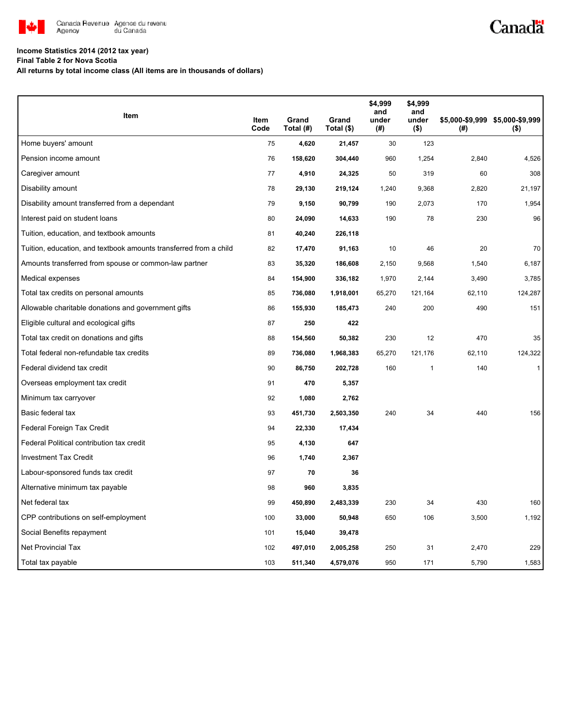

# Canadä

### **Income Statistics 2014 (2012 tax year)**

**Final Table 2 for Nova Scotia**

**All returns by total income class (All items are in thousands of dollars)**

|                                                                   |              |                    |                     | \$4,999<br>and | \$4,999<br>and   |        |                                            |
|-------------------------------------------------------------------|--------------|--------------------|---------------------|----------------|------------------|--------|--------------------------------------------|
| Item                                                              | Item<br>Code | Grand<br>Total (#) | Grand<br>Total (\$) | under<br>(#)   | under<br>$($ \$) | (# )   | \$5,000-\$9,999 \$5,000-\$9,999<br>$($ \$) |
| Home buyers' amount                                               | 75           | 4,620              | 21,457              | 30             | 123              |        |                                            |
| Pension income amount                                             | 76           | 158,620            | 304,440             | 960            | 1,254            | 2,840  | 4,526                                      |
| Caregiver amount                                                  | 77           | 4,910              | 24,325              | 50             | 319              | 60     | 308                                        |
| Disability amount                                                 | 78           | 29,130             | 219,124             | 1,240          | 9,368            | 2,820  | 21,197                                     |
| Disability amount transferred from a dependant                    | 79           | 9,150              | 90,799              | 190            | 2,073            | 170    | 1,954                                      |
| Interest paid on student loans                                    | 80           | 24,090             | 14,633              | 190            | 78               | 230    | 96                                         |
| Tuition, education, and textbook amounts                          | 81           | 40,240             | 226,118             |                |                  |        |                                            |
| Tuition, education, and textbook amounts transferred from a child | 82           | 17,470             | 91,163              | 10             | 46               | 20     | 70                                         |
| Amounts transferred from spouse or common-law partner             | 83           | 35,320             | 186,608             | 2,150          | 9,568            | 1,540  | 6,187                                      |
| Medical expenses                                                  | 84           | 154,900            | 336,182             | 1,970          | 2,144            | 3,490  | 3,785                                      |
| Total tax credits on personal amounts                             | 85           | 736,080            | 1,918,001           | 65,270         | 121,164          | 62,110 | 124,287                                    |
| Allowable charitable donations and government gifts               | 86           | 155,930            | 185,473             | 240            | 200              | 490    | 151                                        |
| Eligible cultural and ecological gifts                            | 87           | 250                | 422                 |                |                  |        |                                            |
| Total tax credit on donations and gifts                           | 88           | 154,560            | 50,382              | 230            | 12               | 470    | 35                                         |
| Total federal non-refundable tax credits                          | 89           | 736,080            | 1,968,383           | 65,270         | 121,176          | 62,110 | 124,322                                    |
| Federal dividend tax credit                                       | 90           | 86,750             | 202,728             | 160            | $\mathbf{1}$     | 140    | $\mathbf{1}$                               |
| Overseas employment tax credit                                    | 91           | 470                | 5,357               |                |                  |        |                                            |
| Minimum tax carryover                                             | 92           | 1,080              | 2,762               |                |                  |        |                                            |
| Basic federal tax                                                 | 93           | 451,730            | 2,503,350           | 240            | 34               | 440    | 156                                        |
| Federal Foreign Tax Credit                                        | 94           | 22,330             | 17,434              |                |                  |        |                                            |
| Federal Political contribution tax credit                         | 95           | 4,130              | 647                 |                |                  |        |                                            |
| <b>Investment Tax Credit</b>                                      | 96           | 1,740              | 2,367               |                |                  |        |                                            |
| Labour-sponsored funds tax credit                                 | 97           | 70                 | 36                  |                |                  |        |                                            |
| Alternative minimum tax payable                                   | 98           | 960                | 3,835               |                |                  |        |                                            |
| Net federal tax                                                   | 99           | 450,890            | 2,483,339           | 230            | 34               | 430    | 160                                        |
| CPP contributions on self-employment                              | 100          | 33,000             | 50,948              | 650            | 106              | 3,500  | 1,192                                      |
| Social Benefits repayment                                         | 101          | 15,040             | 39,478              |                |                  |        |                                            |
| <b>Net Provincial Tax</b>                                         | 102          | 497,010            | 2,005,258           | 250            | 31               | 2,470  | 229                                        |
| Total tax payable                                                 | 103          | 511,340            | 4,579,076           | 950            | 171              | 5,790  | 1,583                                      |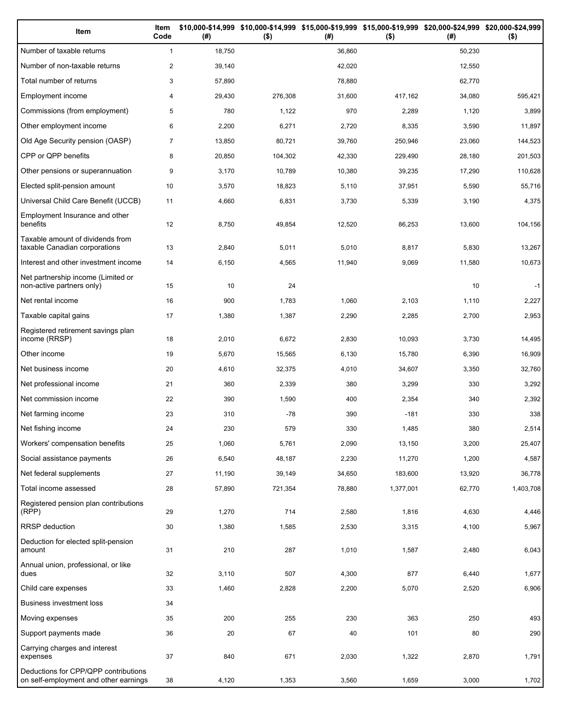| Item                                                                          | Item<br>Code   | (# )   | \$10,000-\$14,999 \$10,000-\$14,999 \$15,000-\$19,999 \$15,000-\$19,999 \$20,000-\$24,999 \$20,000-\$24,999<br>$($ \$) | (# )   | $($ \$)   | (#)    | $($ \$)   |
|-------------------------------------------------------------------------------|----------------|--------|------------------------------------------------------------------------------------------------------------------------|--------|-----------|--------|-----------|
| Number of taxable returns                                                     | $\mathbf{1}$   | 18,750 |                                                                                                                        | 36,860 |           | 50,230 |           |
| Number of non-taxable returns                                                 | $\overline{c}$ | 39,140 |                                                                                                                        | 42,020 |           | 12,550 |           |
| Total number of returns                                                       | 3              | 57,890 |                                                                                                                        | 78,880 |           | 62,770 |           |
| Employment income                                                             | 4              | 29,430 | 276,308                                                                                                                | 31,600 | 417,162   | 34,080 | 595,421   |
| Commissions (from employment)                                                 | 5              | 780    | 1,122                                                                                                                  | 970    | 2,289     | 1,120  | 3,899     |
| Other employment income                                                       | 6              | 2,200  | 6,271                                                                                                                  | 2,720  | 8,335     | 3,590  | 11,897    |
| Old Age Security pension (OASP)                                               | $\overline{7}$ | 13,850 | 80,721                                                                                                                 | 39,760 | 250,946   | 23,060 | 144,523   |
| CPP or QPP benefits                                                           | 8              | 20,850 | 104,302                                                                                                                | 42,330 | 229,490   | 28,180 | 201,503   |
| Other pensions or superannuation                                              | 9              | 3,170  | 10,789                                                                                                                 | 10,380 | 39,235    | 17,290 | 110,628   |
| Elected split-pension amount                                                  | 10             | 3,570  | 18,823                                                                                                                 | 5,110  | 37,951    | 5,590  | 55,716    |
| Universal Child Care Benefit (UCCB)                                           | 11             | 4,660  | 6,831                                                                                                                  | 3,730  | 5,339     | 3,190  | 4,375     |
| Employment Insurance and other<br>benefits                                    | 12             | 8,750  | 49,854                                                                                                                 | 12,520 | 86,253    | 13,600 | 104,156   |
| Taxable amount of dividends from<br>taxable Canadian corporations             | 13             | 2,840  | 5,011                                                                                                                  | 5,010  | 8,817     | 5,830  | 13,267    |
| Interest and other investment income                                          | 14             | 6,150  | 4,565                                                                                                                  | 11,940 | 9,069     | 11,580 | 10,673    |
| Net partnership income (Limited or<br>non-active partners only)               | 15             | 10     | 24                                                                                                                     |        |           | 10     | $-1$      |
| Net rental income                                                             | 16             | 900    | 1,783                                                                                                                  | 1,060  | 2,103     | 1,110  | 2,227     |
| Taxable capital gains                                                         | 17             | 1,380  | 1,387                                                                                                                  | 2,290  | 2,285     | 2,700  | 2,953     |
| Registered retirement savings plan<br>income (RRSP)                           | 18             | 2,010  | 6,672                                                                                                                  | 2,830  | 10,093    | 3,730  | 14,495    |
| Other income                                                                  | 19             | 5,670  | 15,565                                                                                                                 | 6,130  | 15,780    | 6,390  | 16,909    |
| Net business income                                                           | 20             | 4,610  | 32,375                                                                                                                 | 4,010  | 34,607    | 3,350  | 32,760    |
| Net professional income                                                       | 21             | 360    | 2,339                                                                                                                  | 380    | 3,299     | 330    | 3,292     |
| Net commission income                                                         | 22             | 390    | 1,590                                                                                                                  | 400    | 2,354     | 340    | 2,392     |
| Net farming income                                                            | 23             | 310    | $-78$                                                                                                                  | 390    | $-181$    | 330    | 338       |
| Net fishing income                                                            | 24             | 230    | 579                                                                                                                    | 330    | 1,485     | 380    | 2,514     |
| Workers' compensation benefits                                                | 25             | 1,060  | 5,761                                                                                                                  | 2,090  | 13,150    | 3,200  | 25,407    |
| Social assistance payments                                                    | 26             | 6,540  | 48,187                                                                                                                 | 2,230  | 11,270    | 1,200  | 4,587     |
| Net federal supplements                                                       | 27             | 11,190 | 39,149                                                                                                                 | 34,650 | 183,600   | 13,920 | 36,778    |
| Total income assessed                                                         | 28             | 57,890 | 721,354                                                                                                                | 78,880 | 1,377,001 | 62,770 | 1,403,708 |
| Registered pension plan contributions<br>(RPP)                                | 29             | 1,270  | 714                                                                                                                    | 2,580  | 1,816     | 4,630  | 4,446     |
| RRSP deduction                                                                | 30             | 1,380  | 1,585                                                                                                                  | 2,530  | 3,315     | 4,100  | 5,967     |
| Deduction for elected split-pension<br>amount                                 | 31             | 210    | 287                                                                                                                    | 1,010  | 1,587     | 2,480  | 6,043     |
| Annual union, professional, or like<br>dues                                   | 32             | 3,110  | 507                                                                                                                    | 4,300  | 877       | 6,440  | 1,677     |
| Child care expenses                                                           | 33             | 1,460  | 2,828                                                                                                                  | 2,200  | 5,070     | 2,520  | 6,906     |
| Business investment loss                                                      | 34             |        |                                                                                                                        |        |           |        |           |
| Moving expenses                                                               | 35             | 200    | 255                                                                                                                    | 230    | 363       | 250    | 493       |
| Support payments made                                                         | 36             | 20     | 67                                                                                                                     | 40     | 101       | 80     | 290       |
| Carrying charges and interest<br>expenses                                     | 37             | 840    | 671                                                                                                                    | 2,030  | 1,322     | 2,870  | 1,791     |
| Deductions for CPP/QPP contributions<br>on self-employment and other earnings | 38             | 4,120  | 1,353                                                                                                                  | 3,560  | 1,659     | 3,000  | 1,702     |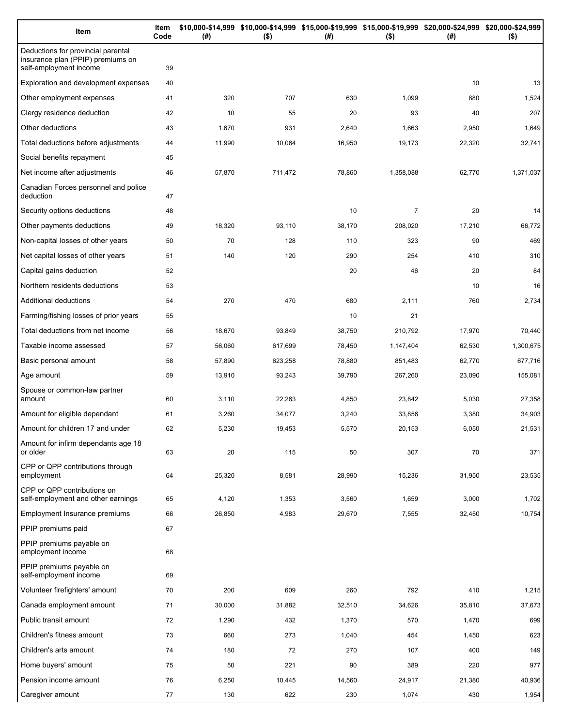| Item                                                                                              | Item<br>Code | (# )   | \$10,000-\$14,999 \$10,000-\$14,999 \$15,000-\$19,999 \$15,000-\$19,999 \$20,000-\$24,999 \$20,000-\$24,999<br>$($ \$) | (#)    | $($ \$)        | (#)    | $($ \$)   |
|---------------------------------------------------------------------------------------------------|--------------|--------|------------------------------------------------------------------------------------------------------------------------|--------|----------------|--------|-----------|
| Deductions for provincial parental<br>insurance plan (PPIP) premiums on<br>self-employment income | 39           |        |                                                                                                                        |        |                |        |           |
| Exploration and development expenses                                                              | 40           |        |                                                                                                                        |        |                | 10     | 13        |
| Other employment expenses                                                                         | 41           | 320    | 707                                                                                                                    | 630    | 1,099          | 880    | 1,524     |
| Clergy residence deduction                                                                        | 42           | 10     | 55                                                                                                                     | 20     | 93             | 40     | 207       |
| Other deductions                                                                                  | 43           | 1,670  | 931                                                                                                                    | 2,640  | 1,663          | 2,950  | 1,649     |
| Total deductions before adjustments                                                               | 44           | 11,990 | 10,064                                                                                                                 | 16,950 | 19,173         | 22,320 | 32,741    |
| Social benefits repayment                                                                         | 45           |        |                                                                                                                        |        |                |        |           |
| Net income after adjustments                                                                      | 46           | 57,870 | 711,472                                                                                                                | 78,860 | 1,358,088      | 62,770 | 1,371,037 |
| Canadian Forces personnel and police<br>deduction                                                 | 47           |        |                                                                                                                        |        |                |        |           |
| Security options deductions                                                                       | 48           |        |                                                                                                                        | 10     | $\overline{7}$ | 20     | 14        |
| Other payments deductions                                                                         | 49           | 18,320 | 93,110                                                                                                                 | 38,170 | 208,020        | 17,210 | 66,772    |
| Non-capital losses of other years                                                                 | 50           | 70     | 128                                                                                                                    | 110    | 323            | 90     | 469       |
| Net capital losses of other years                                                                 | 51           | 140    | 120                                                                                                                    | 290    | 254            | 410    | 310       |
| Capital gains deduction                                                                           | 52           |        |                                                                                                                        | 20     | 46             | 20     | 84        |
| Northern residents deductions                                                                     | 53           |        |                                                                                                                        |        |                | 10     | 16        |
| Additional deductions                                                                             | 54           | 270    | 470                                                                                                                    | 680    | 2,111          | 760    | 2,734     |
| Farming/fishing losses of prior years                                                             | 55           |        |                                                                                                                        | 10     | 21             |        |           |
| Total deductions from net income                                                                  | 56           | 18,670 | 93,849                                                                                                                 | 38,750 | 210,792        | 17,970 | 70,440    |
| Taxable income assessed                                                                           | 57           | 56,060 | 617,699                                                                                                                | 78,450 | 1,147,404      | 62,530 | 1,300,675 |
| Basic personal amount                                                                             | 58           | 57,890 | 623,258                                                                                                                | 78,880 | 851,483        | 62,770 | 677,716   |
| Age amount                                                                                        | 59           | 13,910 | 93,243                                                                                                                 | 39,790 | 267,260        | 23,090 | 155,081   |
| Spouse or common-law partner<br>amount                                                            | 60           | 3,110  | 22,263                                                                                                                 | 4,850  | 23,842         | 5,030  | 27,358    |
| Amount for eligible dependant                                                                     | 61           | 3,260  | 34,077                                                                                                                 | 3,240  | 33,856         | 3,380  | 34,903    |
| Amount for children 17 and under                                                                  | 62           | 5,230  | 19,453                                                                                                                 | 5,570  | 20,153         | 6,050  | 21,531    |
| Amount for infirm dependants age 18<br>or older                                                   | 63           | 20     | 115                                                                                                                    | 50     | 307            | 70     | 371       |
| CPP or QPP contributions through<br>employment                                                    | 64           | 25,320 | 8,581                                                                                                                  | 28,990 | 15,236         | 31,950 | 23,535    |
| CPP or QPP contributions on<br>self-employment and other earnings                                 | 65           | 4,120  | 1,353                                                                                                                  | 3,560  | 1,659          | 3,000  | 1,702     |
| Employment Insurance premiums                                                                     | 66           | 26,850 | 4,983                                                                                                                  | 29,670 | 7,555          | 32,450 | 10,754    |
| PPIP premiums paid                                                                                | 67           |        |                                                                                                                        |        |                |        |           |
| PPIP premiums payable on<br>employment income                                                     | 68           |        |                                                                                                                        |        |                |        |           |
| PPIP premiums payable on<br>self-employment income                                                | 69           |        |                                                                                                                        |        |                |        |           |
| Volunteer firefighters' amount                                                                    | 70           | 200    | 609                                                                                                                    | 260    | 792            | 410    | 1,215     |
| Canada employment amount                                                                          | 71           | 30,000 | 31,882                                                                                                                 | 32,510 | 34,626         | 35,810 | 37,673    |
| Public transit amount                                                                             | 72           | 1,290  | 432                                                                                                                    | 1,370  | 570            | 1,470  | 699       |
| Children's fitness amount                                                                         | 73           | 660    | 273                                                                                                                    | 1,040  | 454            | 1,450  | 623       |
| Children's arts amount                                                                            | 74           | 180    | 72                                                                                                                     | 270    | 107            | 400    | 149       |
| Home buyers' amount                                                                               | 75           | 50     | 221                                                                                                                    | 90     | 389            | 220    | 977       |
| Pension income amount                                                                             | 76           | 6,250  | 10,445                                                                                                                 | 14,560 | 24,917         | 21,380 | 40,936    |
| Caregiver amount                                                                                  | 77           | 130    | 622                                                                                                                    | 230    | 1,074          | 430    | 1,954     |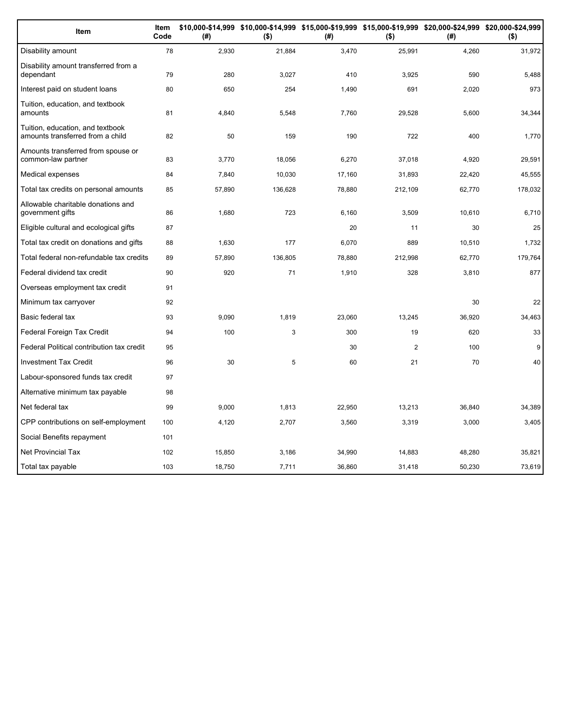| Item                                                                 | Item<br>Code | (#)    | \$10,000-\$14,999 \$10,000-\$14,999 \$15,000-\$19,999 \$15,000-\$19,999 \$20,000-\$24,999 \$20,000-\$24,999<br>$($ \$) | (#)    | $($ \$)        | (# )   | $($ \$) |
|----------------------------------------------------------------------|--------------|--------|------------------------------------------------------------------------------------------------------------------------|--------|----------------|--------|---------|
| Disability amount                                                    | 78           | 2,930  | 21,884                                                                                                                 | 3,470  | 25,991         | 4,260  | 31,972  |
| Disability amount transferred from a<br>dependant                    | 79           | 280    | 3,027                                                                                                                  | 410    | 3.925          | 590    | 5,488   |
| Interest paid on student loans                                       | 80           | 650    | 254                                                                                                                    | 1,490  | 691            | 2,020  | 973     |
| Tuition, education, and textbook<br>amounts                          | 81           | 4,840  | 5,548                                                                                                                  | 7,760  | 29,528         | 5,600  | 34,344  |
| Tuition, education, and textbook<br>amounts transferred from a child | 82           | 50     | 159                                                                                                                    | 190    | 722            | 400    | 1,770   |
| Amounts transferred from spouse or<br>common-law partner             | 83           | 3,770  | 18,056                                                                                                                 | 6,270  | 37,018         | 4,920  | 29,591  |
| Medical expenses                                                     | 84           | 7,840  | 10,030                                                                                                                 | 17,160 | 31,893         | 22,420 | 45,555  |
| Total tax credits on personal amounts                                | 85           | 57,890 | 136,628                                                                                                                | 78,880 | 212,109        | 62,770 | 178,032 |
| Allowable charitable donations and<br>government gifts               | 86           | 1,680  | 723                                                                                                                    | 6,160  | 3,509          | 10,610 | 6,710   |
| Eligible cultural and ecological gifts                               | 87           |        |                                                                                                                        | 20     | 11             | 30     | 25      |
| Total tax credit on donations and gifts                              | 88           | 1,630  | 177                                                                                                                    | 6,070  | 889            | 10,510 | 1,732   |
| Total federal non-refundable tax credits                             | 89           | 57,890 | 136,805                                                                                                                | 78,880 | 212,998        | 62,770 | 179,764 |
| Federal dividend tax credit                                          | 90           | 920    | 71                                                                                                                     | 1,910  | 328            | 3,810  | 877     |
| Overseas employment tax credit                                       | 91           |        |                                                                                                                        |        |                |        |         |
| Minimum tax carryover                                                | 92           |        |                                                                                                                        |        |                | 30     | 22      |
| Basic federal tax                                                    | 93           | 9,090  | 1,819                                                                                                                  | 23,060 | 13,245         | 36,920 | 34,463  |
| Federal Foreign Tax Credit                                           | 94           | 100    | 3                                                                                                                      | 300    | 19             | 620    | 33      |
| Federal Political contribution tax credit                            | 95           |        |                                                                                                                        | 30     | $\overline{2}$ | 100    | 9       |
| <b>Investment Tax Credit</b>                                         | 96           | 30     | 5                                                                                                                      | 60     | 21             | 70     | 40      |
| Labour-sponsored funds tax credit                                    | 97           |        |                                                                                                                        |        |                |        |         |
| Alternative minimum tax payable                                      | 98           |        |                                                                                                                        |        |                |        |         |
| Net federal tax                                                      | 99           | 9.000  | 1,813                                                                                                                  | 22,950 | 13.213         | 36,840 | 34,389  |
| CPP contributions on self-employment                                 | 100          | 4,120  | 2,707                                                                                                                  | 3,560  | 3,319          | 3,000  | 3,405   |
| Social Benefits repayment                                            | 101          |        |                                                                                                                        |        |                |        |         |
| <b>Net Provincial Tax</b>                                            | 102          | 15,850 | 3,186                                                                                                                  | 34,990 | 14,883         | 48,280 | 35,821  |
| Total tax payable                                                    | 103          | 18,750 | 7,711                                                                                                                  | 36,860 | 31,418         | 50,230 | 73,619  |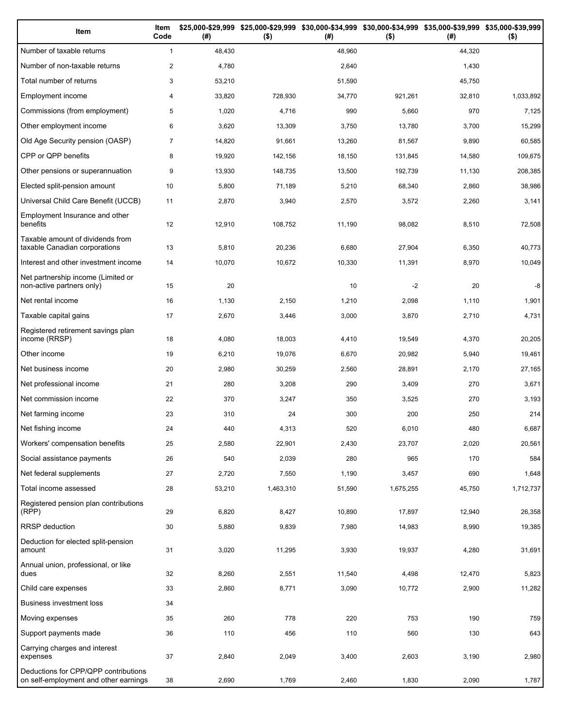| Item                                                                          | Item<br>Code   | (#)    | $($ \$)   | (#)    | \$25,000-\$29,999 \$25,000-\$29,999 \$30,000-\$34,999 \$30,000-\$34,999 \$35,000-\$39,999 \$35,000-\$39,999<br>$($ \$) | (# )   | $($ \$)   |
|-------------------------------------------------------------------------------|----------------|--------|-----------|--------|------------------------------------------------------------------------------------------------------------------------|--------|-----------|
| Number of taxable returns                                                     | $\mathbf{1}$   | 48,430 |           | 48,960 |                                                                                                                        | 44,320 |           |
| Number of non-taxable returns                                                 | $\overline{c}$ | 4,780  |           | 2,640  |                                                                                                                        | 1,430  |           |
| Total number of returns                                                       | 3              | 53,210 |           | 51,590 |                                                                                                                        | 45,750 |           |
| Employment income                                                             | 4              | 33,820 | 728,930   | 34,770 | 921,261                                                                                                                | 32,810 | 1,033,892 |
| Commissions (from employment)                                                 | 5              | 1,020  | 4,716     | 990    | 5,660                                                                                                                  | 970    | 7,125     |
| Other employment income                                                       | 6              | 3,620  | 13,309    | 3,750  | 13,780                                                                                                                 | 3,700  | 15,299    |
| Old Age Security pension (OASP)                                               | $\overline{7}$ | 14,820 | 91.661    | 13,260 | 81,567                                                                                                                 | 9,890  | 60,585    |
| CPP or QPP benefits                                                           | 8              | 19,920 | 142,156   | 18,150 | 131,845                                                                                                                | 14,580 | 109,675   |
| Other pensions or superannuation                                              | 9              | 13,930 | 148,735   | 13,500 | 192,739                                                                                                                | 11,130 | 208,385   |
| Elected split-pension amount                                                  | 10             | 5,800  | 71,189    | 5,210  | 68,340                                                                                                                 | 2,860  | 38,986    |
| Universal Child Care Benefit (UCCB)                                           | 11             | 2,870  | 3,940     | 2,570  | 3,572                                                                                                                  | 2,260  | 3,141     |
| Employment Insurance and other<br>benefits                                    | 12             | 12,910 | 108,752   | 11,190 | 98,082                                                                                                                 | 8,510  | 72,508    |
| Taxable amount of dividends from<br>taxable Canadian corporations             | 13             | 5,810  | 20,236    | 6,680  | 27,904                                                                                                                 | 6,350  | 40,773    |
| Interest and other investment income                                          | 14             | 10,070 | 10,672    | 10,330 | 11,391                                                                                                                 | 8,970  | 10,049    |
| Net partnership income (Limited or<br>non-active partners only)               | 15             | 20     |           | 10     | $-2$                                                                                                                   | 20     | -8        |
| Net rental income                                                             | 16             | 1,130  | 2,150     | 1,210  | 2,098                                                                                                                  | 1,110  | 1,901     |
| Taxable capital gains                                                         | 17             | 2,670  | 3,446     | 3,000  | 3,870                                                                                                                  | 2,710  | 4,731     |
| Registered retirement savings plan<br>income (RRSP)                           | 18             | 4,080  | 18,003    | 4,410  | 19,549                                                                                                                 | 4,370  | 20,205    |
| Other income                                                                  | 19             | 6,210  | 19,076    | 6,670  | 20,982                                                                                                                 | 5,940  | 19,461    |
| Net business income                                                           | 20             | 2,980  | 30,259    | 2,560  | 28,891                                                                                                                 | 2,170  | 27,165    |
| Net professional income                                                       | 21             | 280    | 3,208     | 290    | 3,409                                                                                                                  | 270    | 3,671     |
| Net commission income                                                         | 22             | 370    | 3,247     | 350    | 3,525                                                                                                                  | 270    | 3,193     |
| Net farming income                                                            | 23             | 310    | 24        | 300    | 200                                                                                                                    | 250    | 214       |
| Net fishing income                                                            | 24             | 440    | 4,313     | 520    | 6,010                                                                                                                  | 480    | 6,687     |
| Workers' compensation benefits                                                | 25             | 2,580  | 22,901    | 2,430  | 23,707                                                                                                                 | 2,020  | 20,561    |
| Social assistance payments                                                    | 26             | 540    | 2,039     | 280    | 965                                                                                                                    | 170    | 584       |
| Net federal supplements                                                       | 27             | 2,720  | 7,550     | 1,190  | 3,457                                                                                                                  | 690    | 1,648     |
| Total income assessed                                                         | 28             | 53,210 | 1,463,310 | 51,590 | 1,675,255                                                                                                              | 45,750 | 1,712,737 |
| Registered pension plan contributions<br>(RPP)                                | 29             | 6,820  | 8,427     | 10,890 | 17,897                                                                                                                 | 12,940 | 26,358    |
| RRSP deduction                                                                | 30             | 5,880  | 9,839     | 7,980  | 14,983                                                                                                                 | 8,990  | 19,385    |
| Deduction for elected split-pension<br>amount                                 | 31             | 3,020  | 11,295    | 3,930  | 19,937                                                                                                                 | 4,280  | 31,691    |
| Annual union, professional, or like<br>dues                                   | 32             | 8,260  | 2,551     | 11,540 | 4,498                                                                                                                  | 12,470 | 5,823     |
| Child care expenses                                                           | 33             | 2,860  | 8,771     | 3,090  | 10,772                                                                                                                 | 2,900  | 11,282    |
| Business investment loss                                                      | 34             |        |           |        |                                                                                                                        |        |           |
| Moving expenses                                                               | 35             | 260    | 778       | 220    | 753                                                                                                                    | 190    | 759       |
| Support payments made                                                         | 36             | 110    | 456       | 110    | 560                                                                                                                    | 130    | 643       |
| Carrying charges and interest<br>expenses                                     | 37             | 2,840  | 2,049     | 3,400  | 2,603                                                                                                                  | 3,190  | 2,980     |
| Deductions for CPP/QPP contributions<br>on self-employment and other earnings | 38             | 2,690  | 1,769     | 2,460  | 1,830                                                                                                                  | 2,090  | 1,787     |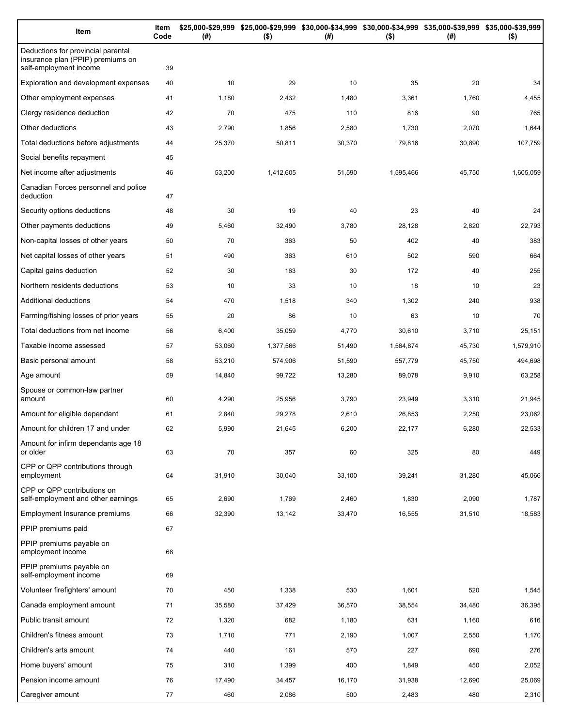| Item                                                                                              | Item<br>Code | (#)    | \$25,000-\$29,999 \$25,000-\$29,999 \$30,000-\$34,999 \$30,000-\$34,999 \$35,000-\$39,999 \$35,000-\$39,999<br>$($ \$) | (#)    | $($ \$)   | (#)    | $($ \$)   |
|---------------------------------------------------------------------------------------------------|--------------|--------|------------------------------------------------------------------------------------------------------------------------|--------|-----------|--------|-----------|
| Deductions for provincial parental<br>insurance plan (PPIP) premiums on<br>self-employment income | 39           |        |                                                                                                                        |        |           |        |           |
| Exploration and development expenses                                                              | 40           | 10     | 29                                                                                                                     | 10     | 35        | 20     | 34        |
| Other employment expenses                                                                         | 41           | 1,180  | 2,432                                                                                                                  | 1,480  | 3,361     | 1,760  | 4,455     |
| Clergy residence deduction                                                                        | 42           | 70     | 475                                                                                                                    | 110    | 816       | 90     | 765       |
| Other deductions                                                                                  | 43           | 2,790  | 1,856                                                                                                                  | 2,580  | 1,730     | 2,070  | 1,644     |
| Total deductions before adjustments                                                               | 44           | 25,370 | 50,811                                                                                                                 | 30,370 | 79,816    | 30,890 | 107,759   |
| Social benefits repayment                                                                         | 45           |        |                                                                                                                        |        |           |        |           |
| Net income after adjustments                                                                      | 46           | 53,200 | 1,412,605                                                                                                              | 51,590 | 1,595,466 | 45,750 | 1,605,059 |
| Canadian Forces personnel and police<br>deduction                                                 | 47           |        |                                                                                                                        |        |           |        |           |
| Security options deductions                                                                       | 48           | 30     | 19                                                                                                                     | 40     | 23        | 40     | 24        |
| Other payments deductions                                                                         | 49           | 5,460  | 32,490                                                                                                                 | 3,780  | 28,128    | 2,820  | 22,793    |
| Non-capital losses of other years                                                                 | 50           | 70     | 363                                                                                                                    | 50     | 402       | 40     | 383       |
| Net capital losses of other years                                                                 | 51           | 490    | 363                                                                                                                    | 610    | 502       | 590    | 664       |
| Capital gains deduction                                                                           | 52           | 30     | 163                                                                                                                    | 30     | 172       | 40     | 255       |
| Northern residents deductions                                                                     | 53           | 10     | 33                                                                                                                     | 10     | 18        | 10     | 23        |
| Additional deductions                                                                             | 54           | 470    | 1,518                                                                                                                  | 340    | 1,302     | 240    | 938       |
| Farming/fishing losses of prior years                                                             | 55           | 20     | 86                                                                                                                     | 10     | 63        | 10     | 70        |
| Total deductions from net income                                                                  | 56           | 6,400  | 35,059                                                                                                                 | 4,770  | 30,610    | 3,710  | 25,151    |
| Taxable income assessed                                                                           | 57           | 53,060 | 1,377,566                                                                                                              | 51,490 | 1,564,874 | 45,730 | 1,579,910 |
| Basic personal amount                                                                             | 58           | 53,210 | 574,906                                                                                                                | 51,590 | 557,779   | 45,750 | 494,698   |
| Age amount                                                                                        | 59           | 14,840 | 99,722                                                                                                                 | 13,280 | 89,078    | 9,910  | 63,258    |
| Spouse or common-law partner<br>amount                                                            | 60           | 4,290  | 25,956                                                                                                                 | 3,790  | 23,949    | 3,310  | 21,945    |
| Amount for eligible dependant                                                                     | 61           | 2,840  | 29,278                                                                                                                 | 2,610  | 26,853    | 2,250  | 23,062    |
| Amount for children 17 and under                                                                  | 62           | 5,990  | 21,645                                                                                                                 | 6,200  | 22,177    | 6,280  | 22,533    |
| Amount for infirm dependants age 18<br>or older                                                   | 63           | 70     | 357                                                                                                                    | 60     | 325       | 80     | 449       |
| CPP or QPP contributions through<br>employment                                                    | 64           | 31,910 | 30,040                                                                                                                 | 33,100 | 39,241    | 31,280 | 45,066    |
| CPP or QPP contributions on<br>self-employment and other earnings                                 | 65           | 2,690  | 1,769                                                                                                                  | 2,460  | 1,830     | 2,090  | 1,787     |
| Employment Insurance premiums                                                                     | 66           | 32,390 | 13,142                                                                                                                 | 33,470 | 16,555    | 31,510 | 18,583    |
| PPIP premiums paid                                                                                | 67           |        |                                                                                                                        |        |           |        |           |
| PPIP premiums payable on<br>employment income                                                     | 68           |        |                                                                                                                        |        |           |        |           |
| PPIP premiums payable on<br>self-employment income                                                | 69           |        |                                                                                                                        |        |           |        |           |
| Volunteer firefighters' amount                                                                    | 70           | 450    | 1,338                                                                                                                  | 530    | 1,601     | 520    | 1,545     |
| Canada employment amount                                                                          | 71           | 35,580 | 37,429                                                                                                                 | 36,570 | 38,554    | 34,480 | 36,395    |
| Public transit amount                                                                             | 72           | 1,320  | 682                                                                                                                    | 1,180  | 631       | 1,160  | 616       |
| Children's fitness amount                                                                         | 73           | 1,710  | 771                                                                                                                    | 2,190  | 1,007     | 2,550  | 1,170     |
| Children's arts amount                                                                            | 74           | 440    | 161                                                                                                                    | 570    | 227       | 690    | 276       |
| Home buyers' amount                                                                               | 75           | 310    | 1,399                                                                                                                  | 400    | 1,849     | 450    | 2,052     |
| Pension income amount                                                                             | 76           | 17,490 | 34,457                                                                                                                 | 16,170 | 31,938    | 12,690 | 25,069    |
| Caregiver amount                                                                                  | 77           | 460    | 2,086                                                                                                                  | 500    | 2,483     | 480    | 2,310     |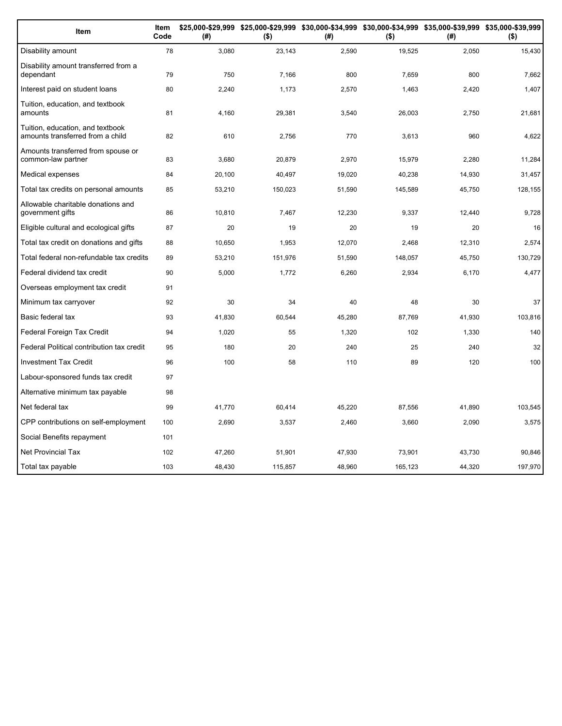| Item                                                                 | Item<br>Code | (#)    | \$25,000-\$29,999 \$25,000-\$29,999 \$30,000-\$34,999 \$30,000-\$34,999 \$35,000-\$39,999 \$35,000-\$39,999<br>$($ \$) | (#)    | $($ \$) | (#)    | $($ \$) |
|----------------------------------------------------------------------|--------------|--------|------------------------------------------------------------------------------------------------------------------------|--------|---------|--------|---------|
| Disability amount                                                    | 78           | 3,080  | 23,143                                                                                                                 | 2,590  | 19,525  | 2,050  | 15,430  |
| Disability amount transferred from a<br>dependant                    | 79           | 750    | 7,166                                                                                                                  | 800    | 7,659   | 800    | 7,662   |
| Interest paid on student loans                                       | 80           | 2,240  | 1,173                                                                                                                  | 2,570  | 1,463   | 2,420  | 1,407   |
| Tuition, education, and textbook<br>amounts                          | 81           | 4,160  | 29,381                                                                                                                 | 3,540  | 26,003  | 2,750  | 21,681  |
| Tuition, education, and textbook<br>amounts transferred from a child | 82           | 610    | 2,756                                                                                                                  | 770    | 3,613   | 960    | 4,622   |
| Amounts transferred from spouse or<br>common-law partner             | 83           | 3,680  | 20,879                                                                                                                 | 2,970  | 15,979  | 2,280  | 11,284  |
| Medical expenses                                                     | 84           | 20,100 | 40,497                                                                                                                 | 19,020 | 40,238  | 14,930 | 31,457  |
| Total tax credits on personal amounts                                | 85           | 53,210 | 150,023                                                                                                                | 51,590 | 145,589 | 45,750 | 128,155 |
| Allowable charitable donations and<br>government gifts               | 86           | 10,810 | 7,467                                                                                                                  | 12,230 | 9,337   | 12,440 | 9,728   |
| Eligible cultural and ecological gifts                               | 87           | 20     | 19                                                                                                                     | 20     | 19      | 20     | 16      |
| Total tax credit on donations and gifts                              | 88           | 10,650 | 1,953                                                                                                                  | 12,070 | 2,468   | 12,310 | 2,574   |
| Total federal non-refundable tax credits                             | 89           | 53,210 | 151,976                                                                                                                | 51,590 | 148,057 | 45,750 | 130,729 |
| Federal dividend tax credit                                          | 90           | 5,000  | 1,772                                                                                                                  | 6,260  | 2,934   | 6,170  | 4,477   |
| Overseas employment tax credit                                       | 91           |        |                                                                                                                        |        |         |        |         |
| Minimum tax carryover                                                | 92           | 30     | 34                                                                                                                     | 40     | 48      | 30     | 37      |
| Basic federal tax                                                    | 93           | 41,830 | 60,544                                                                                                                 | 45,280 | 87,769  | 41,930 | 103,816 |
| Federal Foreign Tax Credit                                           | 94           | 1,020  | 55                                                                                                                     | 1,320  | 102     | 1,330  | 140     |
| Federal Political contribution tax credit                            | 95           | 180    | 20                                                                                                                     | 240    | 25      | 240    | 32      |
| <b>Investment Tax Credit</b>                                         | 96           | 100    | 58                                                                                                                     | 110    | 89      | 120    | 100     |
| Labour-sponsored funds tax credit                                    | 97           |        |                                                                                                                        |        |         |        |         |
| Alternative minimum tax payable                                      | 98           |        |                                                                                                                        |        |         |        |         |
| Net federal tax                                                      | 99           | 41,770 | 60,414                                                                                                                 | 45,220 | 87,556  | 41,890 | 103,545 |
| CPP contributions on self-employment                                 | 100          | 2,690  | 3,537                                                                                                                  | 2,460  | 3,660   | 2,090  | 3,575   |
| Social Benefits repayment                                            | 101          |        |                                                                                                                        |        |         |        |         |
| Net Provincial Tax                                                   | 102          | 47,260 | 51,901                                                                                                                 | 47,930 | 73,901  | 43,730 | 90.846  |
| Total tax payable                                                    | 103          | 48.430 | 115.857                                                                                                                | 48.960 | 165.123 | 44.320 | 197,970 |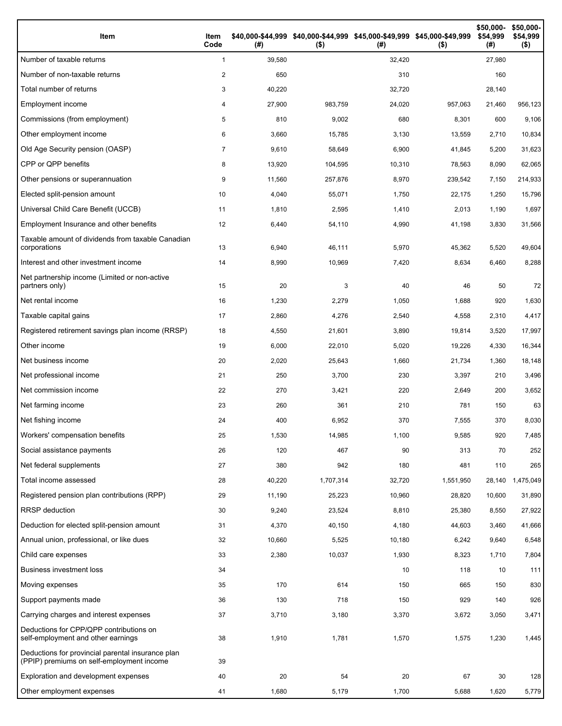| Item                                                                                           | Item<br>Code   | (#)    | \$40,000-\$44,999 \$40,000-\$44,999 \$45,000-\$49,999 \$45,000-\$49,999<br>$($ \$) | (# )   | $($ \$)   | \$50,000-<br>\$54,999<br>(#) | \$50,000-<br>\$54,999<br>$($ \$) |
|------------------------------------------------------------------------------------------------|----------------|--------|------------------------------------------------------------------------------------|--------|-----------|------------------------------|----------------------------------|
| Number of taxable returns                                                                      | 1              | 39,580 |                                                                                    | 32,420 |           | 27,980                       |                                  |
| Number of non-taxable returns                                                                  | 2              | 650    |                                                                                    | 310    |           | 160                          |                                  |
| Total number of returns                                                                        | 3              | 40,220 |                                                                                    | 32,720 |           | 28,140                       |                                  |
| Employment income                                                                              | 4              | 27,900 | 983,759                                                                            | 24,020 | 957,063   | 21,460                       | 956,123                          |
| Commissions (from employment)                                                                  | 5              | 810    | 9,002                                                                              | 680    | 8,301     | 600                          | 9,106                            |
| Other employment income                                                                        | 6              | 3,660  | 15,785                                                                             | 3,130  | 13,559    | 2,710                        | 10,834                           |
| Old Age Security pension (OASP)                                                                | $\overline{7}$ | 9,610  | 58,649                                                                             | 6,900  | 41,845    | 5,200                        | 31,623                           |
| CPP or QPP benefits                                                                            | 8              | 13,920 | 104,595                                                                            | 10,310 | 78,563    | 8,090                        | 62,065                           |
| Other pensions or superannuation                                                               | 9              | 11,560 | 257,876                                                                            | 8,970  | 239,542   | 7,150                        | 214,933                          |
| Elected split-pension amount                                                                   | 10             | 4,040  | 55,071                                                                             | 1,750  | 22,175    | 1,250                        | 15,796                           |
| Universal Child Care Benefit (UCCB)                                                            | 11             | 1,810  | 2,595                                                                              | 1,410  | 2,013     | 1,190                        | 1,697                            |
| Employment Insurance and other benefits                                                        | 12             | 6,440  | 54,110                                                                             | 4,990  | 41,198    | 3,830                        | 31,566                           |
| Taxable amount of dividends from taxable Canadian<br>corporations                              | 13             | 6,940  | 46,111                                                                             | 5,970  | 45,362    | 5,520                        | 49,604                           |
| Interest and other investment income                                                           | 14             | 8,990  | 10,969                                                                             | 7,420  | 8,634     | 6,460                        | 8,288                            |
| Net partnership income (Limited or non-active<br>partners only)                                | 15             | 20     | 3                                                                                  | 40     | 46        | 50                           | 72                               |
| Net rental income                                                                              | 16             | 1,230  | 2,279                                                                              | 1,050  | 1,688     | 920                          | 1,630                            |
| Taxable capital gains                                                                          | 17             | 2,860  | 4,276                                                                              | 2,540  | 4,558     | 2,310                        | 4,417                            |
| Registered retirement savings plan income (RRSP)                                               | 18             | 4,550  | 21,601                                                                             | 3,890  | 19,814    | 3,520                        | 17,997                           |
| Other income                                                                                   | 19             | 6,000  | 22,010                                                                             | 5,020  | 19,226    | 4,330                        | 16,344                           |
| Net business income                                                                            | 20             | 2,020  | 25,643                                                                             | 1,660  | 21,734    | 1,360                        | 18,148                           |
| Net professional income                                                                        | 21             | 250    | 3,700                                                                              | 230    | 3,397     | 210                          | 3,496                            |
| Net commission income                                                                          | 22             | 270    | 3,421                                                                              | 220    | 2,649     | 200                          | 3,652                            |
| Net farming income                                                                             | 23             | 260    | 361                                                                                | 210    | 781       | 150                          | 63                               |
| Net fishing income                                                                             | 24             | 400    | 6,952                                                                              | 370    | 7,555     | 370                          | 8,030                            |
| Workers' compensation benefits                                                                 | 25             | 1,530  | 14,985                                                                             | 1,100  | 9,585     | 920                          | 7,485                            |
| Social assistance payments                                                                     | 26             | 120    | 467                                                                                | 90     | 313       | 70                           | 252                              |
| Net federal supplements                                                                        | 27             | 380    | 942                                                                                | 180    | 481       | 110                          | 265                              |
| Total income assessed                                                                          | 28             | 40,220 | 1,707,314                                                                          | 32,720 | 1,551,950 | 28,140                       | 1,475,049                        |
| Registered pension plan contributions (RPP)                                                    | 29             | 11,190 | 25,223                                                                             | 10,960 | 28,820    | 10,600                       | 31,890                           |
| RRSP deduction                                                                                 | 30             | 9,240  | 23,524                                                                             | 8,810  | 25,380    | 8,550                        | 27,922                           |
| Deduction for elected split-pension amount                                                     | 31             | 4,370  | 40,150                                                                             | 4,180  | 44,603    | 3,460                        | 41,666                           |
| Annual union, professional, or like dues                                                       | 32             | 10,660 | 5,525                                                                              | 10,180 | 6,242     | 9,640                        | 6,548                            |
| Child care expenses                                                                            | 33             | 2,380  | 10,037                                                                             | 1,930  | 8,323     | 1,710                        | 7,804                            |
| <b>Business investment loss</b>                                                                | 34             |        |                                                                                    | 10     | 118       | 10                           | 111                              |
| Moving expenses                                                                                | 35             | 170    | 614                                                                                | 150    | 665       | 150                          | 830                              |
| Support payments made                                                                          | 36             | 130    | 718                                                                                | 150    | 929       | 140                          | 926                              |
| Carrying charges and interest expenses                                                         | 37             | 3,710  | 3,180                                                                              | 3,370  | 3,672     | 3,050                        | 3,471                            |
| Deductions for CPP/QPP contributions on<br>self-employment and other earnings                  | 38             | 1,910  | 1,781                                                                              | 1,570  | 1,575     | 1,230                        | 1,445                            |
| Deductions for provincial parental insurance plan<br>(PPIP) premiums on self-employment income | 39             |        |                                                                                    |        |           |                              |                                  |
| Exploration and development expenses                                                           | 40             | 20     | 54                                                                                 | 20     | 67        | 30                           | 128                              |
| Other employment expenses                                                                      | 41             | 1,680  | 5,179                                                                              | 1,700  | 5,688     | 1,620                        | 5,779                            |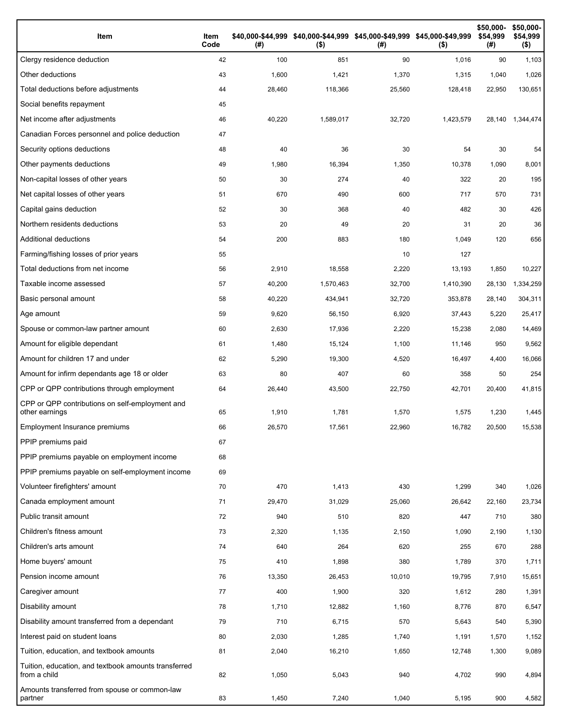| Item                                                                 | Item<br>Code | (# )   | \$40,000-\$44,999 \$40,000-\$44,999 \$45,000-\$49,999 \$45,000-\$49,999<br>$($ \$) | (# )   | $($ \$)   | \$50,000-<br>\$54,999<br>(#) | \$50,000-<br>\$54,999<br>$($ \$) |
|----------------------------------------------------------------------|--------------|--------|------------------------------------------------------------------------------------|--------|-----------|------------------------------|----------------------------------|
| Clergy residence deduction                                           | 42           | 100    | 851                                                                                | 90     | 1,016     | 90                           | 1,103                            |
| Other deductions                                                     | 43           | 1,600  | 1,421                                                                              | 1,370  | 1,315     | 1,040                        | 1,026                            |
| Total deductions before adjustments                                  | 44           | 28,460 | 118,366                                                                            | 25,560 | 128,418   | 22,950                       | 130,651                          |
| Social benefits repayment                                            | 45           |        |                                                                                    |        |           |                              |                                  |
| Net income after adjustments                                         | 46           | 40,220 | 1,589,017                                                                          | 32,720 | 1,423,579 | 28,140                       | 1,344,474                        |
| Canadian Forces personnel and police deduction                       | 47           |        |                                                                                    |        |           |                              |                                  |
| Security options deductions                                          | 48           | 40     | 36                                                                                 | 30     | 54        | 30                           | 54                               |
| Other payments deductions                                            | 49           | 1,980  | 16,394                                                                             | 1,350  | 10,378    | 1,090                        | 8,001                            |
| Non-capital losses of other years                                    | 50           | 30     | 274                                                                                | 40     | 322       | 20                           | 195                              |
| Net capital losses of other years                                    | 51           | 670    | 490                                                                                | 600    | 717       | 570                          | 731                              |
| Capital gains deduction                                              | 52           | 30     | 368                                                                                | 40     | 482       | 30                           | 426                              |
| Northern residents deductions                                        | 53           | 20     | 49                                                                                 | 20     | 31        | 20                           | 36                               |
| Additional deductions                                                | 54           | 200    | 883                                                                                | 180    | 1,049     | 120                          | 656                              |
| Farming/fishing losses of prior years                                | 55           |        |                                                                                    | 10     | 127       |                              |                                  |
| Total deductions from net income                                     | 56           | 2,910  | 18,558                                                                             | 2,220  | 13,193    | 1,850                        | 10,227                           |
| Taxable income assessed                                              | 57           | 40,200 | 1,570,463                                                                          | 32,700 | 1,410,390 | 28,130                       | 1,334,259                        |
| Basic personal amount                                                | 58           | 40,220 | 434,941                                                                            | 32,720 | 353,878   | 28,140                       | 304,311                          |
| Age amount                                                           | 59           | 9,620  | 56,150                                                                             | 6,920  | 37,443    | 5,220                        | 25,417                           |
| Spouse or common-law partner amount                                  | 60           | 2,630  | 17,936                                                                             | 2,220  | 15,238    | 2,080                        | 14,469                           |
| Amount for eligible dependant                                        | 61           | 1,480  | 15,124                                                                             | 1,100  | 11,146    | 950                          | 9,562                            |
| Amount for children 17 and under                                     | 62           | 5,290  | 19,300                                                                             | 4,520  | 16,497    | 4,400                        | 16,066                           |
| Amount for infirm dependants age 18 or older                         | 63           | 80     | 407                                                                                | 60     | 358       | 50                           | 254                              |
| CPP or QPP contributions through employment                          | 64           | 26,440 | 43,500                                                                             | 22,750 | 42,701    | 20,400                       | 41,815                           |
| CPP or QPP contributions on self-employment and<br>other earnings    | 65           | 1,910  | 1,781                                                                              | 1,570  | 1,575     | 1,230                        | 1,445                            |
| Employment Insurance premiums                                        | 66           | 26,570 | 17,561                                                                             | 22,960 | 16,782    | 20,500                       | 15,538                           |
| PPIP premiums paid                                                   | 67           |        |                                                                                    |        |           |                              |                                  |
| PPIP premiums payable on employment income                           | 68           |        |                                                                                    |        |           |                              |                                  |
| PPIP premiums payable on self-employment income                      | 69           |        |                                                                                    |        |           |                              |                                  |
| Volunteer firefighters' amount                                       | 70           | 470    | 1,413                                                                              | 430    | 1,299     | 340                          | 1,026                            |
| Canada employment amount                                             | 71           | 29,470 | 31,029                                                                             | 25,060 | 26,642    | 22,160                       | 23,734                           |
| Public transit amount                                                | 72           | 940    | 510                                                                                | 820    | 447       | 710                          | 380                              |
| Children's fitness amount                                            | 73           | 2,320  | 1,135                                                                              | 2,150  | 1,090     | 2,190                        | 1,130                            |
| Children's arts amount                                               | 74           | 640    | 264                                                                                | 620    | 255       | 670                          | 288                              |
| Home buyers' amount                                                  | 75           | 410    | 1,898                                                                              | 380    | 1,789     | 370                          | 1,711                            |
| Pension income amount                                                | 76           | 13,350 | 26,453                                                                             | 10,010 | 19,795    | 7,910                        | 15,651                           |
| Caregiver amount                                                     | 77           | 400    | 1,900                                                                              | 320    | 1,612     | 280                          | 1,391                            |
| Disability amount                                                    | 78           | 1,710  | 12,882                                                                             | 1,160  | 8,776     | 870                          | 6,547                            |
| Disability amount transferred from a dependant                       | 79           | 710    | 6,715                                                                              | 570    | 5,643     | 540                          | 5,390                            |
| Interest paid on student loans                                       | 80           | 2,030  | 1,285                                                                              | 1,740  | 1,191     | 1,570                        | 1,152                            |
| Tuition, education, and textbook amounts                             | 81           | 2,040  | 16,210                                                                             | 1,650  | 12,748    | 1,300                        | 9,089                            |
| Tuition, education, and textbook amounts transferred<br>from a child | 82           | 1,050  | 5,043                                                                              | 940    | 4,702     | 990                          | 4,894                            |
| Amounts transferred from spouse or common-law<br>partner             | 83           | 1,450  | 7,240                                                                              | 1,040  | 5,195     | 900                          | 4,582                            |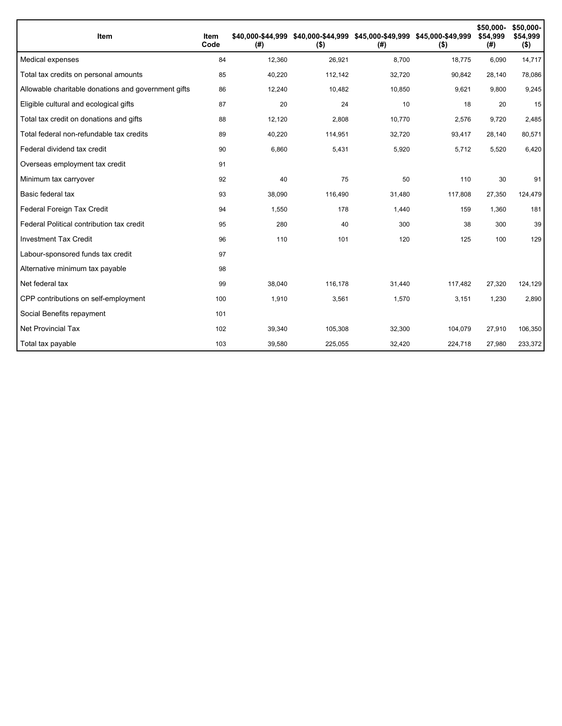| <b>Item</b>                                         | Item<br>Code | \$40.000-\$44.999<br>(#) | $($ \$) | \$40,000-\$44,999 \$45,000-\$49,999 \$45,000-\$49,999<br>(# ) | $($ \$) | \$50,000-<br>\$54.999<br>(#) | \$50,000-<br>\$54,999<br>$($ \$) |
|-----------------------------------------------------|--------------|--------------------------|---------|---------------------------------------------------------------|---------|------------------------------|----------------------------------|
| Medical expenses                                    | 84           | 12,360                   | 26,921  | 8,700                                                         | 18,775  | 6,090                        | 14,717                           |
| Total tax credits on personal amounts               | 85           | 40,220                   | 112,142 | 32,720                                                        | 90,842  | 28,140                       | 78,086                           |
| Allowable charitable donations and government gifts | 86           | 12,240                   | 10,482  | 10,850                                                        | 9,621   | 9,800                        | 9,245                            |
| Eligible cultural and ecological gifts              | 87           | 20                       | 24      | 10                                                            | 18      | 20                           | 15                               |
| Total tax credit on donations and gifts             | 88           | 12,120                   | 2,808   | 10,770                                                        | 2,576   | 9,720                        | 2,485                            |
| Total federal non-refundable tax credits            | 89           | 40,220                   | 114,951 | 32,720                                                        | 93,417  | 28,140                       | 80,571                           |
| Federal dividend tax credit                         | 90           | 6,860                    | 5,431   | 5,920                                                         | 5,712   | 5,520                        | 6,420                            |
| Overseas employment tax credit                      | 91           |                          |         |                                                               |         |                              |                                  |
| Minimum tax carryover                               | 92           | 40                       | 75      | 50                                                            | 110     | 30                           | 91                               |
| Basic federal tax                                   | 93           | 38,090                   | 116,490 | 31,480                                                        | 117,808 | 27,350                       | 124,479                          |
| Federal Foreign Tax Credit                          | 94           | 1,550                    | 178     | 1,440                                                         | 159     | 1,360                        | 181                              |
| Federal Political contribution tax credit           | 95           | 280                      | 40      | 300                                                           | 38      | 300                          | 39                               |
| <b>Investment Tax Credit</b>                        | 96           | 110                      | 101     | 120                                                           | 125     | 100                          | 129                              |
| Labour-sponsored funds tax credit                   | 97           |                          |         |                                                               |         |                              |                                  |
| Alternative minimum tax payable                     | 98           |                          |         |                                                               |         |                              |                                  |
| Net federal tax                                     | 99           | 38,040                   | 116,178 | 31,440                                                        | 117,482 | 27,320                       | 124,129                          |
| CPP contributions on self-employment                | 100          | 1,910                    | 3,561   | 1,570                                                         | 3,151   | 1,230                        | 2,890                            |
| Social Benefits repayment                           | 101          |                          |         |                                                               |         |                              |                                  |
| <b>Net Provincial Tax</b>                           | 102          | 39,340                   | 105,308 | 32,300                                                        | 104,079 | 27,910                       | 106,350                          |
| Total tax payable                                   | 103          | 39,580                   | 225,055 | 32,420                                                        | 224,718 | 27,980                       | 233,372                          |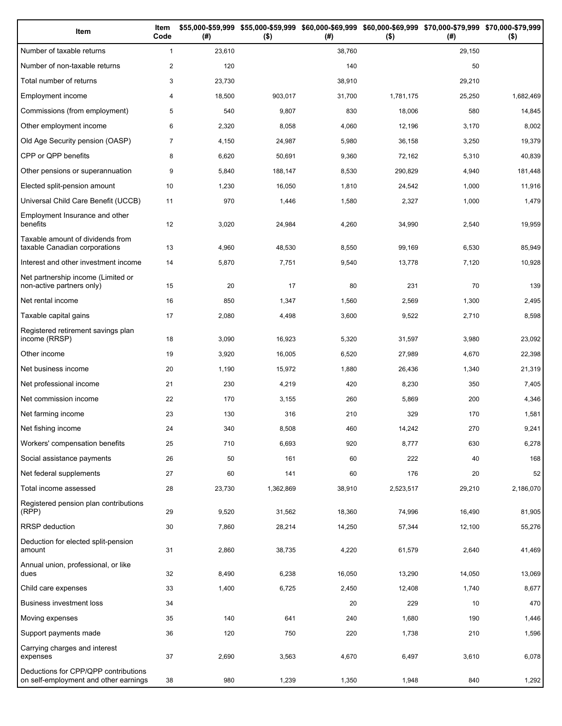| Item                                                                          | Item<br>Code   | (# )   | \$55,000-\$59,999 \$55,000-\$59,999 \$60,000-\$69,999 \$60,000-\$69,999 \$70,000-\$79,999 \$70,000-\$79,999<br>$($ \$) | (# )   | $($ \$)   | (#)    | $($ \$)   |
|-------------------------------------------------------------------------------|----------------|--------|------------------------------------------------------------------------------------------------------------------------|--------|-----------|--------|-----------|
| Number of taxable returns                                                     | $\mathbf{1}$   | 23,610 |                                                                                                                        | 38,760 |           | 29,150 |           |
| Number of non-taxable returns                                                 | $\overline{2}$ | 120    |                                                                                                                        | 140    |           | 50     |           |
| Total number of returns                                                       | 3              | 23,730 |                                                                                                                        | 38,910 |           | 29,210 |           |
| Employment income                                                             | 4              | 18,500 | 903,017                                                                                                                | 31,700 | 1,781,175 | 25,250 | 1,682,469 |
| Commissions (from employment)                                                 | 5              | 540    | 9,807                                                                                                                  | 830    | 18,006    | 580    | 14,845    |
| Other employment income                                                       | 6              | 2,320  | 8,058                                                                                                                  | 4,060  | 12,196    | 3,170  | 8,002     |
| Old Age Security pension (OASP)                                               | $\overline{7}$ | 4,150  | 24,987                                                                                                                 | 5,980  | 36,158    | 3,250  | 19,379    |
| CPP or QPP benefits                                                           | 8              | 6,620  | 50,691                                                                                                                 | 9,360  | 72,162    | 5,310  | 40,839    |
| Other pensions or superannuation                                              | 9              | 5,840  | 188,147                                                                                                                | 8,530  | 290,829   | 4,940  | 181,448   |
| Elected split-pension amount                                                  | 10             | 1,230  | 16,050                                                                                                                 | 1,810  | 24,542    | 1,000  | 11,916    |
| Universal Child Care Benefit (UCCB)                                           | 11             | 970    | 1,446                                                                                                                  | 1,580  | 2,327     | 1,000  | 1,479     |
| Employment Insurance and other<br>benefits                                    | 12             | 3,020  | 24,984                                                                                                                 | 4,260  | 34,990    | 2,540  | 19,959    |
| Taxable amount of dividends from<br>taxable Canadian corporations             | 13             | 4,960  | 48,530                                                                                                                 | 8,550  | 99,169    | 6,530  | 85,949    |
| Interest and other investment income                                          | 14             | 5,870  | 7,751                                                                                                                  | 9,540  | 13,778    | 7,120  | 10,928    |
| Net partnership income (Limited or<br>non-active partners only)               | 15             | 20     | 17                                                                                                                     | 80     | 231       | 70     | 139       |
| Net rental income                                                             | 16             | 850    | 1,347                                                                                                                  | 1,560  | 2,569     | 1,300  | 2,495     |
| Taxable capital gains                                                         | 17             | 2,080  | 4,498                                                                                                                  | 3,600  | 9,522     | 2,710  | 8,598     |
| Registered retirement savings plan<br>income (RRSP)                           | 18             | 3,090  | 16,923                                                                                                                 | 5,320  | 31,597    | 3,980  | 23,092    |
| Other income                                                                  | 19             | 3,920  | 16,005                                                                                                                 | 6,520  | 27,989    | 4,670  | 22,398    |
| Net business income                                                           | 20             | 1,190  | 15,972                                                                                                                 | 1,880  | 26,436    | 1,340  | 21,319    |
| Net professional income                                                       | 21             | 230    | 4,219                                                                                                                  | 420    | 8,230     | 350    | 7,405     |
| Net commission income                                                         | 22             | 170    | 3,155                                                                                                                  | 260    | 5,869     | 200    | 4,346     |
| Net farming income                                                            | 23             | 130    | 316                                                                                                                    | 210    | 329       | 170    | 1,581     |
| Net fishing income                                                            | 24             | 340    | 8,508                                                                                                                  | 460    | 14,242    | 270    | 9,241     |
| Workers' compensation benefits                                                | 25             | 710    | 6,693                                                                                                                  | 920    | 8,777     | 630    | 6,278     |
| Social assistance payments                                                    | 26             | 50     | 161                                                                                                                    | 60     | 222       | 40     | 168       |
| Net federal supplements                                                       | 27             | 60     | 141                                                                                                                    | 60     | 176       | 20     | 52        |
| Total income assessed                                                         | 28             | 23,730 | 1,362,869                                                                                                              | 38,910 | 2,523,517 | 29,210 | 2,186,070 |
| Registered pension plan contributions<br>(RPP)                                | 29             | 9,520  | 31,562                                                                                                                 | 18,360 | 74,996    | 16,490 | 81,905    |
| RRSP deduction                                                                | 30             | 7,860  | 28,214                                                                                                                 | 14,250 | 57,344    | 12,100 | 55,276    |
| Deduction for elected split-pension<br>amount                                 | 31             | 2,860  | 38,735                                                                                                                 | 4,220  | 61,579    | 2,640  | 41,469    |
| Annual union, professional, or like<br>dues                                   | 32             | 8,490  | 6,238                                                                                                                  | 16,050 | 13,290    | 14,050 | 13,069    |
| Child care expenses                                                           | 33             | 1,400  | 6,725                                                                                                                  | 2,450  | 12,408    | 1,740  | 8,677     |
| Business investment loss                                                      | 34             |        |                                                                                                                        | 20     | 229       | 10     | 470       |
| Moving expenses                                                               | 35             | 140    | 641                                                                                                                    | 240    | 1,680     | 190    | 1,446     |
| Support payments made                                                         | 36             | 120    | 750                                                                                                                    | 220    | 1,738     | 210    | 1,596     |
| Carrying charges and interest<br>expenses                                     | 37             | 2,690  | 3,563                                                                                                                  | 4,670  | 6,497     | 3,610  | 6,078     |
| Deductions for CPP/QPP contributions<br>on self-employment and other earnings | 38             | 980    | 1,239                                                                                                                  | 1,350  | 1,948     | 840    | 1,292     |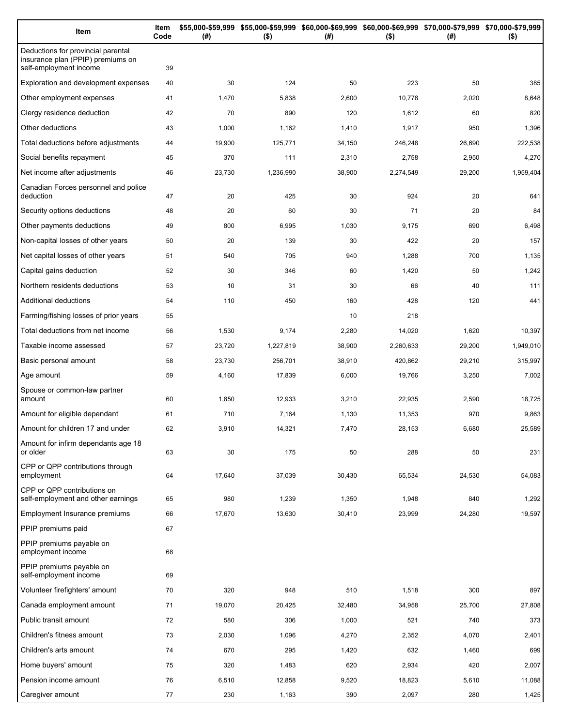| Item                                                                                              | Item<br>Code | (#)    | $($ \$)   | \$55,000-\$59,999 \$55,000-\$59,999 \$60,000-\$69,999 \$60,000-\$69,999 \$70,000-\$79,999 \$70,000-\$79,999<br>(#) | $($ \$)   | (#)    | $($ \$)   |
|---------------------------------------------------------------------------------------------------|--------------|--------|-----------|--------------------------------------------------------------------------------------------------------------------|-----------|--------|-----------|
| Deductions for provincial parental<br>insurance plan (PPIP) premiums on<br>self-employment income | 39           |        |           |                                                                                                                    |           |        |           |
| Exploration and development expenses                                                              | 40           | 30     | 124       | 50                                                                                                                 | 223       | 50     | 385       |
| Other employment expenses                                                                         | 41           | 1,470  | 5,838     | 2,600                                                                                                              | 10,778    | 2,020  | 8,648     |
| Clergy residence deduction                                                                        | 42           | 70     | 890       | 120                                                                                                                | 1,612     | 60     | 820       |
| Other deductions                                                                                  | 43           | 1,000  | 1,162     | 1,410                                                                                                              | 1,917     | 950    | 1,396     |
| Total deductions before adjustments                                                               | 44           | 19,900 | 125,771   | 34,150                                                                                                             | 246,248   | 26,690 | 222,538   |
| Social benefits repayment                                                                         | 45           | 370    | 111       | 2,310                                                                                                              | 2,758     | 2,950  | 4,270     |
| Net income after adjustments                                                                      | 46           | 23,730 | 1,236,990 | 38,900                                                                                                             | 2,274,549 | 29,200 | 1,959,404 |
| Canadian Forces personnel and police<br>deduction                                                 | 47           | 20     | 425       | 30                                                                                                                 | 924       | 20     | 641       |
| Security options deductions                                                                       | 48           | 20     | 60        | 30                                                                                                                 | 71        | 20     | 84        |
| Other payments deductions                                                                         | 49           | 800    | 6,995     | 1,030                                                                                                              | 9,175     | 690    | 6,498     |
| Non-capital losses of other years                                                                 | 50           | 20     | 139       | 30                                                                                                                 | 422       | 20     | 157       |
| Net capital losses of other years                                                                 | 51           | 540    | 705       | 940                                                                                                                | 1,288     | 700    | 1,135     |
| Capital gains deduction                                                                           | 52           | 30     | 346       | 60                                                                                                                 | 1,420     | 50     | 1,242     |
| Northern residents deductions                                                                     | 53           | 10     | 31        | 30                                                                                                                 | 66        | 40     | 111       |
| Additional deductions                                                                             | 54           | 110    | 450       | 160                                                                                                                | 428       | 120    | 441       |
| Farming/fishing losses of prior years                                                             | 55           |        |           | 10                                                                                                                 | 218       |        |           |
| Total deductions from net income                                                                  | 56           | 1,530  | 9,174     | 2,280                                                                                                              | 14,020    | 1,620  | 10,397    |
| Taxable income assessed                                                                           | 57           | 23,720 | 1,227,819 | 38,900                                                                                                             | 2,260,633 | 29,200 | 1,949,010 |
| Basic personal amount                                                                             | 58           | 23,730 | 256,701   | 38,910                                                                                                             | 420,862   | 29,210 | 315,997   |
| Age amount                                                                                        | 59           | 4,160  | 17,839    | 6,000                                                                                                              | 19,766    | 3,250  | 7,002     |
| Spouse or common-law partner<br>amount                                                            | 60           | 1,850  | 12,933    | 3,210                                                                                                              | 22,935    | 2,590  | 18,725    |
| Amount for eligible dependant                                                                     | 61           | 710    | 7,164     | 1,130                                                                                                              | 11,353    | 970    | 9,863     |
| Amount for children 17 and under                                                                  | 62           | 3,910  | 14,321    | 7,470                                                                                                              | 28,153    | 6,680  | 25,589    |
| Amount for infirm dependants age 18<br>or older                                                   | 63           | 30     | 175       | 50                                                                                                                 | 288       | 50     | 231       |
| CPP or QPP contributions through<br>employment                                                    | 64           | 17,640 | 37,039    | 30,430                                                                                                             | 65,534    | 24,530 | 54,083    |
| CPP or QPP contributions on<br>self-employment and other earnings                                 | 65           | 980    | 1,239     | 1,350                                                                                                              | 1,948     | 840    | 1,292     |
| Employment Insurance premiums                                                                     | 66           | 17,670 | 13,630    | 30,410                                                                                                             | 23,999    | 24,280 | 19,597    |
| PPIP premiums paid                                                                                | 67           |        |           |                                                                                                                    |           |        |           |
| PPIP premiums payable on<br>employment income                                                     | 68           |        |           |                                                                                                                    |           |        |           |
| PPIP premiums payable on<br>self-employment income                                                | 69           |        |           |                                                                                                                    |           |        |           |
| Volunteer firefighters' amount                                                                    | 70           | 320    | 948       | 510                                                                                                                | 1,518     | 300    | 897       |
| Canada employment amount                                                                          | 71           | 19,070 | 20,425    | 32,480                                                                                                             | 34,958    | 25,700 | 27,808    |
| Public transit amount                                                                             | 72           | 580    | 306       | 1,000                                                                                                              | 521       | 740    | 373       |
| Children's fitness amount                                                                         | 73           | 2,030  | 1,096     | 4,270                                                                                                              | 2,352     | 4,070  | 2,401     |
| Children's arts amount                                                                            | 74           | 670    | 295       | 1,420                                                                                                              | 632       | 1,460  | 699       |
| Home buyers' amount                                                                               | 75           | 320    | 1,483     | 620                                                                                                                | 2,934     | 420    | 2,007     |
| Pension income amount                                                                             | 76           | 6,510  | 12,858    | 9,520                                                                                                              | 18,823    | 5,610  | 11,088    |
| Caregiver amount                                                                                  | 77           | 230    | 1,163     | 390                                                                                                                | 2,097     | 280    | 1,425     |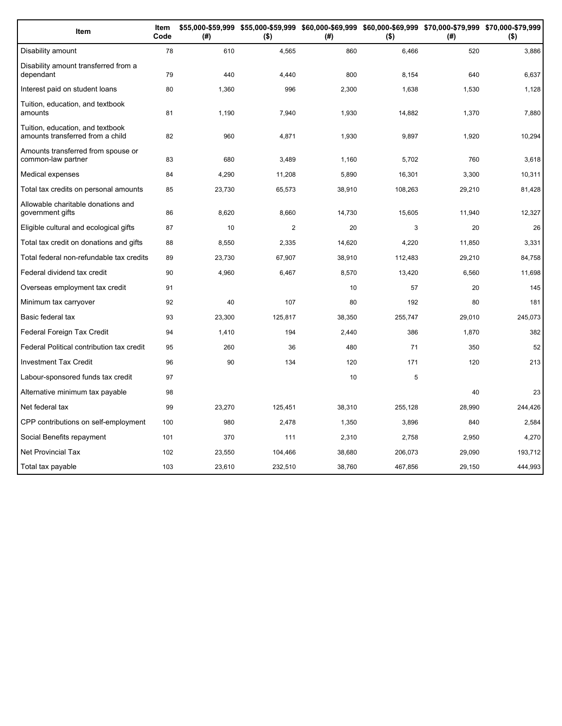| Item                                                                 | Item<br>Code | (#)    | $($ \$)        | (#)    | $($ \$) | \$55,000-\$59,999 \$55,000-\$59,999 \$60,000-\$69,999 \$60,000-\$69,999 \$70,000-\$79,999 \$70,000-\$79,999<br>(#) | $($ \$) |
|----------------------------------------------------------------------|--------------|--------|----------------|--------|---------|--------------------------------------------------------------------------------------------------------------------|---------|
| Disability amount                                                    | 78           | 610    | 4,565          | 860    | 6,466   | 520                                                                                                                | 3,886   |
| Disability amount transferred from a<br>dependant                    | 79           | 440    | 4,440          | 800    | 8,154   | 640                                                                                                                | 6,637   |
| Interest paid on student loans                                       | 80           | 1,360  | 996            | 2,300  | 1,638   | 1,530                                                                                                              | 1,128   |
| Tuition, education, and textbook<br>amounts                          | 81           | 1,190  | 7,940          | 1,930  | 14,882  | 1,370                                                                                                              | 7,880   |
| Tuition, education, and textbook<br>amounts transferred from a child | 82           | 960    | 4,871          | 1,930  | 9,897   | 1,920                                                                                                              | 10,294  |
| Amounts transferred from spouse or<br>common-law partner             | 83           | 680    | 3,489          | 1,160  | 5,702   | 760                                                                                                                | 3,618   |
| Medical expenses                                                     | 84           | 4,290  | 11,208         | 5,890  | 16,301  | 3,300                                                                                                              | 10,311  |
| Total tax credits on personal amounts                                | 85           | 23,730 | 65,573         | 38,910 | 108,263 | 29,210                                                                                                             | 81,428  |
| Allowable charitable donations and<br>government gifts               | 86           | 8,620  | 8,660          | 14,730 | 15,605  | 11,940                                                                                                             | 12,327  |
| Eligible cultural and ecological gifts                               | 87           | 10     | $\overline{2}$ | 20     | 3       | 20                                                                                                                 | 26      |
| Total tax credit on donations and gifts                              | 88           | 8,550  | 2,335          | 14,620 | 4,220   | 11.850                                                                                                             | 3,331   |
| Total federal non-refundable tax credits                             | 89           | 23,730 | 67,907         | 38,910 | 112,483 | 29,210                                                                                                             | 84,758  |
| Federal dividend tax credit                                          | 90           | 4,960  | 6,467          | 8,570  | 13,420  | 6,560                                                                                                              | 11,698  |
| Overseas employment tax credit                                       | 91           |        |                | 10     | 57      | 20                                                                                                                 | 145     |
| Minimum tax carryover                                                | 92           | 40     | 107            | 80     | 192     | 80                                                                                                                 | 181     |
| Basic federal tax                                                    | 93           | 23,300 | 125,817        | 38,350 | 255,747 | 29,010                                                                                                             | 245,073 |
| Federal Foreign Tax Credit                                           | 94           | 1,410  | 194            | 2,440  | 386     | 1,870                                                                                                              | 382     |
| Federal Political contribution tax credit                            | 95           | 260    | 36             | 480    | 71      | 350                                                                                                                | 52      |
| <b>Investment Tax Credit</b>                                         | 96           | 90     | 134            | 120    | 171     | 120                                                                                                                | 213     |
| Labour-sponsored funds tax credit                                    | 97           |        |                | 10     | 5       |                                                                                                                    |         |
| Alternative minimum tax payable                                      | 98           |        |                |        |         | 40                                                                                                                 | 23      |
| Net federal tax                                                      | 99           | 23,270 | 125,451        | 38,310 | 255,128 | 28,990                                                                                                             | 244,426 |
| CPP contributions on self-employment                                 | 100          | 980    | 2,478          | 1,350  | 3,896   | 840                                                                                                                | 2,584   |
| Social Benefits repayment                                            | 101          | 370    | 111            | 2,310  | 2,758   | 2,950                                                                                                              | 4,270   |
| <b>Net Provincial Tax</b>                                            | 102          | 23,550 | 104,466        | 38,680 | 206,073 | 29,090                                                                                                             | 193,712 |
| Total tax payable                                                    | 103          | 23,610 | 232,510        | 38,760 | 467,856 | 29,150                                                                                                             | 444,993 |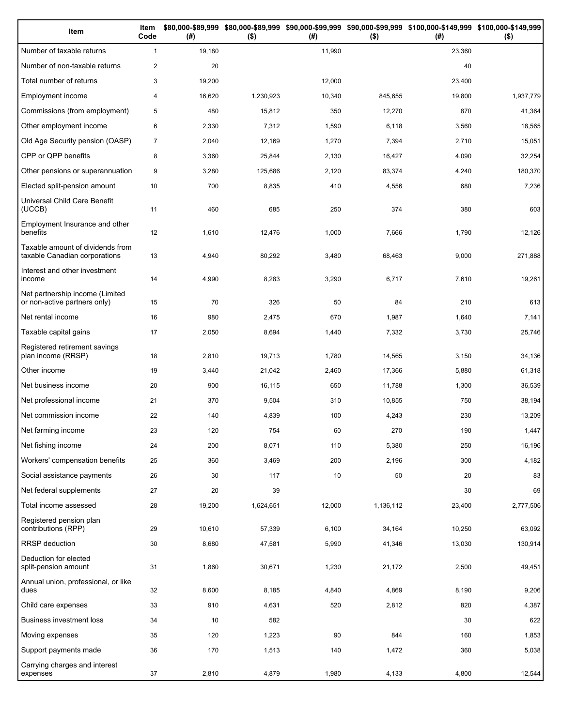| Item                                                              | Item<br>Code   | (#)    | $($ \$)   | (#)    | $($ \$)   | \$80,000-\$89,999 \$80,000-\$89,999 \$90,000-\$99,999 \$90,000-\$99,999 \$100,000-\$149,999 \$100,000-\$149,999<br>(# ) | $($ \$)   |
|-------------------------------------------------------------------|----------------|--------|-----------|--------|-----------|-------------------------------------------------------------------------------------------------------------------------|-----------|
| Number of taxable returns                                         | $\mathbf{1}$   | 19,180 |           | 11,990 |           | 23,360                                                                                                                  |           |
| Number of non-taxable returns                                     | $\overline{2}$ | 20     |           |        |           | 40                                                                                                                      |           |
| Total number of returns                                           | 3              | 19,200 |           | 12,000 |           | 23,400                                                                                                                  |           |
| <b>Employment income</b>                                          | 4              | 16,620 | 1,230,923 | 10,340 | 845,655   | 19,800                                                                                                                  | 1,937,779 |
| Commissions (from employment)                                     | 5              | 480    | 15,812    | 350    | 12,270    | 870                                                                                                                     | 41,364    |
| Other employment income                                           | 6              | 2,330  | 7,312     | 1,590  | 6,118     | 3,560                                                                                                                   | 18,565    |
| Old Age Security pension (OASP)                                   | $\overline{7}$ | 2,040  | 12,169    | 1,270  | 7,394     | 2,710                                                                                                                   | 15,051    |
| CPP or QPP benefits                                               | 8              | 3,360  | 25,844    | 2,130  | 16,427    | 4,090                                                                                                                   | 32,254    |
| Other pensions or superannuation                                  | 9              | 3,280  | 125,686   | 2,120  | 83,374    | 4,240                                                                                                                   | 180,370   |
| Elected split-pension amount                                      | 10             | 700    | 8,835     | 410    | 4,556     | 680                                                                                                                     | 7,236     |
| Universal Child Care Benefit<br>(UCCB)                            | 11             | 460    | 685       | 250    | 374       | 380                                                                                                                     | 603       |
| Employment Insurance and other<br>benefits                        | 12             | 1,610  | 12,476    | 1,000  | 7,666     | 1,790                                                                                                                   | 12,126    |
| Taxable amount of dividends from<br>taxable Canadian corporations | 13             | 4,940  | 80,292    | 3,480  | 68,463    | 9,000                                                                                                                   | 271,888   |
| Interest and other investment<br>income                           | 14             | 4,990  | 8,283     | 3,290  | 6,717     | 7,610                                                                                                                   | 19,261    |
| Net partnership income (Limited<br>or non-active partners only)   | 15             | 70     | 326       | 50     | 84        | 210                                                                                                                     | 613       |
| Net rental income                                                 | 16             | 980    | 2,475     | 670    | 1,987     | 1,640                                                                                                                   | 7,141     |
| Taxable capital gains                                             | 17             | 2,050  | 8,694     | 1,440  | 7,332     | 3,730                                                                                                                   | 25,746    |
| Registered retirement savings<br>plan income (RRSP)               | 18             | 2,810  | 19,713    | 1,780  | 14,565    | 3,150                                                                                                                   | 34,136    |
| Other income                                                      | 19             | 3,440  | 21,042    | 2,460  | 17,366    | 5,880                                                                                                                   | 61,318    |
| Net business income                                               | 20             | 900    | 16,115    | 650    | 11,788    | 1,300                                                                                                                   | 36,539    |
| Net professional income                                           | 21             | 370    | 9,504     | 310    | 10,855    | 750                                                                                                                     | 38,194    |
| Net commission income                                             | 22             | 140    | 4,839     | 100    | 4,243     | 230                                                                                                                     | 13,209    |
| Net farming income                                                | 23             | 120    | 754       | 60     | 270       | 190                                                                                                                     | 1,447     |
| Net fishing income                                                | 24             | 200    | 8,071     | 110    | 5,380     | 250                                                                                                                     | 16,196    |
| Workers' compensation benefits                                    | 25             | 360    | 3,469     | 200    | 2,196     | 300                                                                                                                     | 4,182     |
| Social assistance payments                                        | 26             | 30     | 117       | 10     | 50        | 20                                                                                                                      | 83        |
| Net federal supplements                                           | 27             | 20     | 39        |        |           | 30                                                                                                                      | 69        |
| Total income assessed                                             | 28             | 19,200 | 1,624,651 | 12,000 | 1,136,112 | 23,400                                                                                                                  | 2,777,506 |
| Registered pension plan<br>contributions (RPP)                    | 29             | 10,610 | 57,339    | 6,100  | 34,164    | 10,250                                                                                                                  | 63,092    |
| <b>RRSP</b> deduction                                             | 30             | 8,680  | 47,581    | 5,990  | 41,346    | 13,030                                                                                                                  | 130,914   |
| Deduction for elected<br>split-pension amount                     | 31             | 1,860  | 30,671    | 1,230  | 21,172    | 2,500                                                                                                                   | 49,451    |
| Annual union, professional, or like<br>dues                       | 32             | 8,600  | 8,185     | 4,840  | 4,869     | 8,190                                                                                                                   | 9,206     |
| Child care expenses                                               | 33             | 910    | 4,631     | 520    | 2,812     | 820                                                                                                                     | 4,387     |
| Business investment loss                                          | 34             | 10     | 582       |        |           | 30                                                                                                                      | 622       |
| Moving expenses                                                   | 35             | 120    | 1,223     | 90     | 844       | 160                                                                                                                     | 1,853     |
| Support payments made                                             | 36             | 170    | 1,513     | 140    | 1,472     | 360                                                                                                                     | 5,038     |
| Carrying charges and interest<br>expenses                         | 37             | 2,810  | 4,879     | 1,980  | 4,133     | 4,800                                                                                                                   | 12,544    |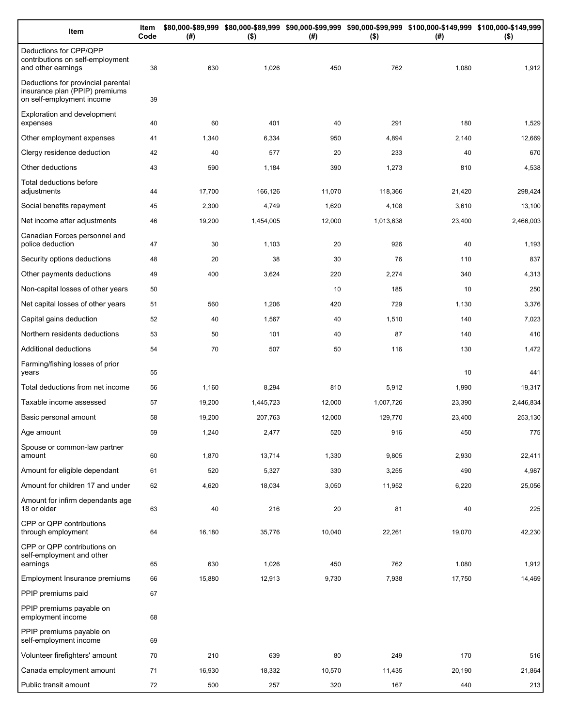| Item                                                                                              | Item<br>Code | (#)    | $($ \$)   | (#)    | $($ \$)   | \$80,000-\$89,999 \$80,000-\$89,999 \$90,000-\$99,999 \$90,000-\$99,999 \$100,000-\$149,999 \$100,000-\$149,999<br>(# ) | $($ \$)   |
|---------------------------------------------------------------------------------------------------|--------------|--------|-----------|--------|-----------|-------------------------------------------------------------------------------------------------------------------------|-----------|
| Deductions for CPP/QPP<br>contributions on self-employment<br>and other earnings                  | 38           | 630    | 1,026     | 450    | 762       | 1,080                                                                                                                   | 1,912     |
| Deductions for provincial parental<br>insurance plan (PPIP) premiums<br>on self-employment income | 39           |        |           |        |           |                                                                                                                         |           |
| Exploration and development<br>expenses                                                           | 40           | 60     | 401       | 40     | 291       | 180                                                                                                                     | 1,529     |
| Other employment expenses                                                                         | 41           | 1,340  | 6,334     | 950    | 4,894     | 2,140                                                                                                                   | 12,669    |
| Clergy residence deduction                                                                        | 42           | 40     | 577       | 20     | 233       | 40                                                                                                                      | 670       |
| Other deductions                                                                                  | 43           | 590    | 1,184     | 390    | 1,273     | 810                                                                                                                     | 4,538     |
| Total deductions before<br>adjustments                                                            | 44           | 17,700 | 166,126   | 11,070 | 118,366   | 21,420                                                                                                                  | 298,424   |
| Social benefits repayment                                                                         | 45           | 2,300  | 4,749     | 1,620  | 4,108     | 3,610                                                                                                                   | 13,100    |
| Net income after adjustments                                                                      | 46           | 19,200 | 1,454,005 | 12,000 | 1,013,638 | 23,400                                                                                                                  | 2,466,003 |
| Canadian Forces personnel and<br>police deduction                                                 | 47           | 30     | 1,103     | 20     | 926       | 40                                                                                                                      | 1,193     |
| Security options deductions                                                                       | 48           | 20     | 38        | 30     | 76        | 110                                                                                                                     | 837       |
| Other payments deductions                                                                         | 49           | 400    | 3,624     | 220    | 2,274     | 340                                                                                                                     | 4,313     |
| Non-capital losses of other years                                                                 | 50           |        |           | 10     | 185       | 10                                                                                                                      | 250       |
| Net capital losses of other years                                                                 | 51           | 560    | 1,206     | 420    | 729       | 1,130                                                                                                                   | 3,376     |
| Capital gains deduction                                                                           | 52           | 40     | 1,567     | 40     | 1,510     | 140                                                                                                                     | 7,023     |
| Northern residents deductions                                                                     | 53           | 50     | 101       | 40     | 87        | 140                                                                                                                     | 410       |
| Additional deductions                                                                             | 54           | 70     | 507       | 50     | 116       | 130                                                                                                                     | 1,472     |
| Farming/fishing losses of prior<br>years                                                          | 55           |        |           |        |           | 10                                                                                                                      | 441       |
| Total deductions from net income                                                                  | 56           | 1,160  | 8,294     | 810    | 5,912     | 1,990                                                                                                                   | 19,317    |
| Taxable income assessed                                                                           | 57           | 19,200 | 1,445,723 | 12,000 | 1,007,726 | 23,390                                                                                                                  | 2,446,834 |
| Basic personal amount                                                                             | 58           | 19,200 | 207,763   | 12,000 | 129,770   | 23,400                                                                                                                  | 253,130   |
| Age amount                                                                                        | 59           | 1,240  | 2,477     | 520    | 916       | 450                                                                                                                     | 775       |
| Spouse or common-law partner<br>amount                                                            | 60           | 1,870  | 13,714    | 1,330  | 9,805     | 2,930                                                                                                                   | 22,411    |
| Amount for eligible dependant                                                                     | 61           | 520    | 5,327     | 330    | 3,255     | 490                                                                                                                     | 4,987     |
| Amount for children 17 and under                                                                  | 62           | 4,620  | 18,034    | 3,050  | 11,952    | 6,220                                                                                                                   | 25,056    |
| Amount for infirm dependants age<br>18 or older                                                   | 63           | 40     | 216       | 20     | 81        | 40                                                                                                                      | 225       |
| CPP or QPP contributions<br>through employment                                                    | 64           | 16,180 | 35,776    | 10,040 | 22,261    | 19,070                                                                                                                  | 42,230    |
| CPP or QPP contributions on<br>self-employment and other                                          |              |        |           |        |           |                                                                                                                         |           |
| earnings<br>Employment Insurance premiums                                                         | 65           | 630    | 1,026     | 450    | 762       | 1,080                                                                                                                   | 1,912     |
| PPIP premiums paid                                                                                | 66<br>67     | 15,880 | 12,913    | 9,730  | 7,938     | 17,750                                                                                                                  | 14,469    |
| PPIP premiums payable on                                                                          |              |        |           |        |           |                                                                                                                         |           |
| employment income                                                                                 | 68           |        |           |        |           |                                                                                                                         |           |
| PPIP premiums payable on<br>self-employment income                                                | 69           |        |           |        |           |                                                                                                                         |           |
| Volunteer firefighters' amount                                                                    | 70           | 210    | 639       | 80     | 249       | 170                                                                                                                     | 516       |
| Canada employment amount                                                                          | 71           | 16,930 | 18,332    | 10,570 | 11,435    | 20,190                                                                                                                  | 21,864    |
| Public transit amount                                                                             | 72           | 500    | 257       | 320    | 167       | 440                                                                                                                     | 213       |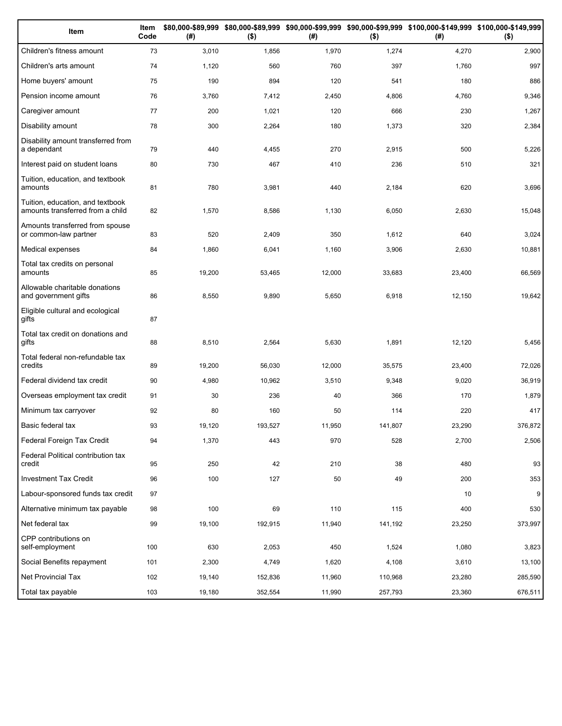| Item                                                                 | Item<br>Code | (# )   | $($ \$) | (#)    | $($ \$) | \$80,000-\$89,999 \$80,000-\$89,999 \$90,000-\$99,999 \$90,000-\$99,999 \$100,000-\$149,999 \$100,000-\$149,999<br>(#) | $($ \$) |
|----------------------------------------------------------------------|--------------|--------|---------|--------|---------|------------------------------------------------------------------------------------------------------------------------|---------|
| Children's fitness amount                                            | 73           | 3,010  | 1,856   | 1,970  | 1,274   | 4,270                                                                                                                  | 2,900   |
| Children's arts amount                                               | 74           | 1,120  | 560     | 760    | 397     | 1,760                                                                                                                  | 997     |
| Home buyers' amount                                                  | 75           | 190    | 894     | 120    | 541     | 180                                                                                                                    | 886     |
| Pension income amount                                                | 76           | 3,760  | 7,412   | 2,450  | 4,806   | 4,760                                                                                                                  | 9,346   |
| Caregiver amount                                                     | 77           | 200    | 1,021   | 120    | 666     | 230                                                                                                                    | 1,267   |
| Disability amount                                                    | 78           | 300    | 2,264   | 180    | 1,373   | 320                                                                                                                    | 2,384   |
| Disability amount transferred from<br>a dependant                    | 79           | 440    | 4,455   | 270    | 2,915   | 500                                                                                                                    | 5,226   |
| Interest paid on student loans                                       | 80           | 730    | 467     | 410    | 236     | 510                                                                                                                    | 321     |
| Tuition, education, and textbook<br>amounts                          | 81           | 780    | 3,981   | 440    | 2,184   | 620                                                                                                                    | 3,696   |
| Tuition, education, and textbook<br>amounts transferred from a child | 82           | 1,570  | 8,586   | 1,130  | 6,050   | 2,630                                                                                                                  | 15,048  |
| Amounts transferred from spouse<br>or common-law partner             | 83           | 520    | 2,409   | 350    | 1,612   | 640                                                                                                                    | 3,024   |
| Medical expenses                                                     | 84           | 1,860  | 6,041   | 1,160  | 3,906   | 2,630                                                                                                                  | 10,881  |
| Total tax credits on personal<br>amounts                             | 85           | 19,200 | 53,465  | 12,000 | 33,683  | 23,400                                                                                                                 | 66,569  |
| Allowable charitable donations<br>and government gifts               | 86           | 8,550  | 9,890   | 5,650  | 6,918   | 12,150                                                                                                                 | 19,642  |
| Eligible cultural and ecological<br>gifts                            | 87           |        |         |        |         |                                                                                                                        |         |
| Total tax credit on donations and<br>gifts                           | 88           | 8,510  | 2,564   | 5,630  | 1,891   | 12,120                                                                                                                 | 5,456   |
| Total federal non-refundable tax<br>credits                          | 89           | 19,200 | 56,030  | 12,000 | 35,575  | 23,400                                                                                                                 | 72,026  |
| Federal dividend tax credit                                          | 90           | 4,980  | 10,962  | 3,510  | 9,348   | 9,020                                                                                                                  | 36,919  |
| Overseas employment tax credit                                       | 91           | 30     | 236     | 40     | 366     | 170                                                                                                                    | 1,879   |
| Minimum tax carryover                                                | 92           | 80     | 160     | 50     | 114     | 220                                                                                                                    | 417     |
| Basic federal tax                                                    | 93           | 19,120 | 193,527 | 11,950 | 141,807 | 23,290                                                                                                                 | 376,872 |
| Federal Foreign Tax Credit                                           | 94           | 1,370  | 443     | 970    | 528     | 2,700                                                                                                                  | 2,506   |
| Federal Political contribution tax<br>credit                         | 95           | 250    | 42      | 210    | 38      | 480                                                                                                                    | 93      |
| <b>Investment Tax Credit</b>                                         | 96           | 100    | 127     | 50     | 49      | 200                                                                                                                    | 353     |
| Labour-sponsored funds tax credit                                    | 97           |        |         |        |         | 10                                                                                                                     | 9       |
| Alternative minimum tax payable                                      | 98           | 100    | 69      | 110    | 115     | 400                                                                                                                    | 530     |
| Net federal tax                                                      | 99           | 19,100 | 192,915 | 11,940 | 141,192 | 23,250                                                                                                                 | 373,997 |
| CPP contributions on<br>self-employment                              | 100          | 630    | 2,053   | 450    | 1,524   | 1,080                                                                                                                  | 3,823   |
| Social Benefits repayment                                            | 101          | 2,300  | 4,749   | 1,620  | 4,108   | 3,610                                                                                                                  | 13,100  |
| Net Provincial Tax                                                   | 102          | 19,140 | 152,836 | 11,960 | 110,968 | 23,280                                                                                                                 | 285,590 |
| Total tax payable                                                    | 103          | 19,180 | 352,554 | 11,990 | 257,793 | 23,360                                                                                                                 | 676,511 |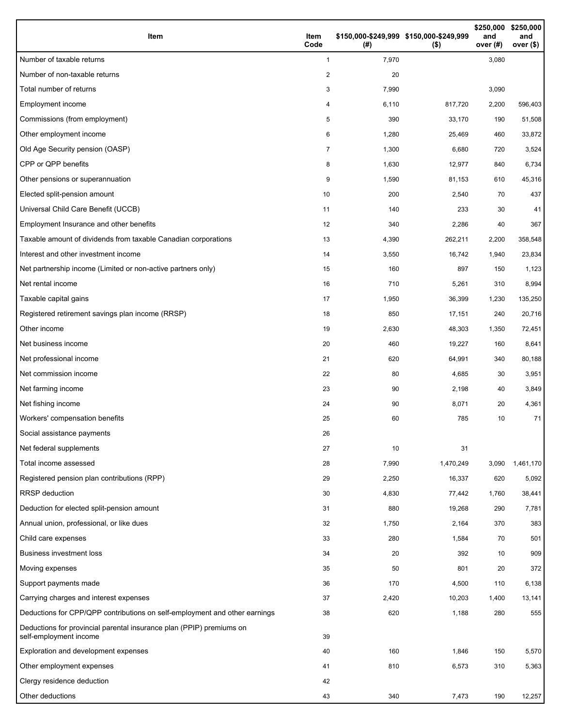| Item                                                                                           | Item<br>Code | (#)   | \$150,000-\$249,999 \$150,000-\$249,999<br>$($ \$) | \$250,000<br>and<br>over (#) | \$250,000<br>and<br>over (\$) |
|------------------------------------------------------------------------------------------------|--------------|-------|----------------------------------------------------|------------------------------|-------------------------------|
| Number of taxable returns                                                                      | $\mathbf{1}$ | 7,970 |                                                    | 3,080                        |                               |
| Number of non-taxable returns                                                                  | 2            | 20    |                                                    |                              |                               |
| Total number of returns                                                                        | 3            | 7,990 |                                                    | 3,090                        |                               |
| Employment income                                                                              | 4            | 6,110 | 817,720                                            | 2,200                        | 596,403                       |
| Commissions (from employment)                                                                  | 5            | 390   | 33,170                                             | 190                          | 51,508                        |
| Other employment income                                                                        | 6            | 1,280 | 25,469                                             | 460                          | 33,872                        |
| Old Age Security pension (OASP)                                                                | 7            | 1,300 | 6,680                                              | 720                          | 3,524                         |
| CPP or QPP benefits                                                                            | 8            | 1,630 | 12,977                                             | 840                          | 6,734                         |
| Other pensions or superannuation                                                               | 9            | 1,590 | 81,153                                             | 610                          | 45,316                        |
| Elected split-pension amount                                                                   | 10           | 200   | 2,540                                              | 70                           | 437                           |
| Universal Child Care Benefit (UCCB)                                                            | 11           | 140   | 233                                                | 30                           | 41                            |
| Employment Insurance and other benefits                                                        | 12           | 340   | 2,286                                              | 40                           | 367                           |
| Taxable amount of dividends from taxable Canadian corporations                                 | 13           | 4,390 | 262,211                                            | 2,200                        | 358,548                       |
| Interest and other investment income                                                           | 14           | 3,550 | 16,742                                             | 1,940                        | 23,834                        |
| Net partnership income (Limited or non-active partners only)                                   | 15           | 160   | 897                                                | 150                          | 1,123                         |
| Net rental income                                                                              | 16           | 710   | 5,261                                              | 310                          | 8,994                         |
| Taxable capital gains                                                                          | 17           | 1,950 | 36,399                                             | 1,230                        | 135,250                       |
| Registered retirement savings plan income (RRSP)                                               | 18           | 850   | 17,151                                             | 240                          | 20,716                        |
| Other income                                                                                   | 19           | 2,630 | 48,303                                             | 1,350                        | 72,451                        |
| Net business income                                                                            | 20           | 460   | 19,227                                             | 160                          | 8,641                         |
| Net professional income                                                                        | 21           | 620   | 64,991                                             | 340                          | 80,188                        |
| Net commission income                                                                          | 22           | 80    | 4,685                                              | 30                           | 3,951                         |
| Net farming income                                                                             | 23           | 90    | 2,198                                              | 40                           | 3,849                         |
| Net fishing income                                                                             | 24           | 90    | 8,071                                              | 20                           | 4,361                         |
| Workers' compensation benefits                                                                 | 25           | 60    | 785                                                | 10                           | 71                            |
| Social assistance payments                                                                     | 26           |       |                                                    |                              |                               |
| Net federal supplements                                                                        | 27           | 10    | 31                                                 |                              |                               |
| Total income assessed                                                                          | 28           | 7,990 | 1,470,249                                          | 3,090                        | 1,461,170                     |
| Registered pension plan contributions (RPP)                                                    | 29           | 2,250 | 16,337                                             | 620                          | 5,092                         |
| <b>RRSP</b> deduction                                                                          | 30           | 4,830 | 77,442                                             | 1,760                        | 38,441                        |
| Deduction for elected split-pension amount                                                     | 31           | 880   | 19,268                                             | 290                          | 7,781                         |
| Annual union, professional, or like dues                                                       | 32           | 1,750 | 2,164                                              | 370                          | 383                           |
| Child care expenses                                                                            | 33           | 280   | 1,584                                              | 70                           | 501                           |
| <b>Business investment loss</b>                                                                | 34           | 20    | 392                                                | 10                           | 909                           |
| Moving expenses                                                                                | 35           | 50    | 801                                                | 20                           | 372                           |
| Support payments made                                                                          | 36           | 170   | 4,500                                              | 110                          | 6,138                         |
| Carrying charges and interest expenses                                                         | 37           | 2,420 | 10,203                                             | 1,400                        | 13,141                        |
| Deductions for CPP/QPP contributions on self-employment and other earnings                     | 38           | 620   | 1,188                                              | 280                          | 555                           |
| Deductions for provincial parental insurance plan (PPIP) premiums on<br>self-employment income | 39           |       |                                                    |                              |                               |
| Exploration and development expenses                                                           | 40           | 160   | 1,846                                              | 150                          | 5,570                         |
| Other employment expenses                                                                      | 41           | 810   | 6,573                                              | 310                          | 5,363                         |
| Clergy residence deduction                                                                     | 42           |       |                                                    |                              |                               |
| Other deductions                                                                               | 43           | 340   | 7,473                                              | 190                          | 12,257                        |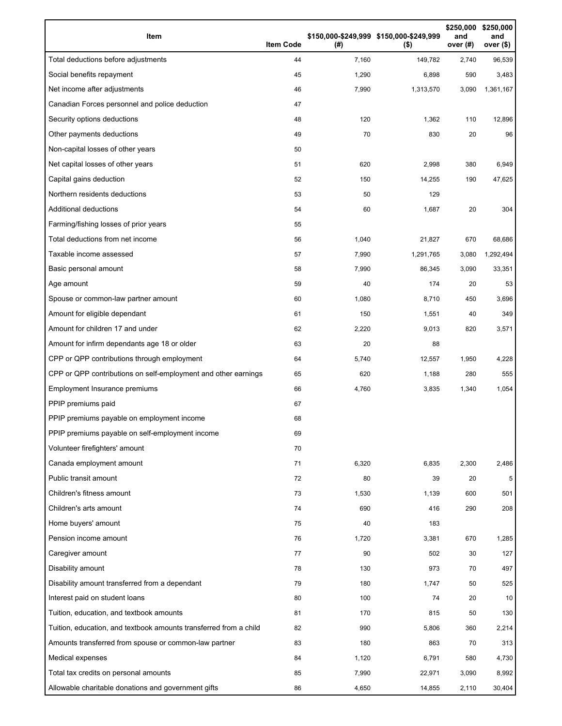| Item                                                              | <b>Item Code</b> | (# )  | \$150,000-\$249,999 \$150,000-\$249,999<br>$($ \$) | \$250,000<br>and<br>over $(#)$ | \$250,000<br>and<br>over $($)$ |
|-------------------------------------------------------------------|------------------|-------|----------------------------------------------------|--------------------------------|--------------------------------|
| Total deductions before adjustments                               | 44               | 7,160 | 149,782                                            | 2,740                          | 96,539                         |
| Social benefits repayment                                         | 45               | 1,290 | 6,898                                              | 590                            | 3,483                          |
| Net income after adjustments                                      | 46               | 7,990 | 1,313,570                                          | 3,090                          | 1,361,167                      |
| Canadian Forces personnel and police deduction                    | 47               |       |                                                    |                                |                                |
| Security options deductions                                       | 48               | 120   | 1,362                                              | 110                            | 12,896                         |
| Other payments deductions                                         | 49               | 70    | 830                                                | 20                             | 96                             |
| Non-capital losses of other years                                 | 50               |       |                                                    |                                |                                |
| Net capital losses of other years                                 | 51               | 620   | 2,998                                              | 380                            | 6,949                          |
| Capital gains deduction                                           | 52               | 150   | 14,255                                             | 190                            | 47,625                         |
| Northern residents deductions                                     | 53               | 50    | 129                                                |                                |                                |
| Additional deductions                                             | 54               | 60    | 1,687                                              | 20                             | 304                            |
| Farming/fishing losses of prior years                             | 55               |       |                                                    |                                |                                |
| Total deductions from net income                                  | 56               | 1,040 | 21,827                                             | 670                            | 68,686                         |
| Taxable income assessed                                           | 57               | 7,990 | 1,291,765                                          | 3,080                          | 1,292,494                      |
| Basic personal amount                                             | 58               | 7,990 | 86,345                                             | 3,090                          | 33,351                         |
| Age amount                                                        | 59               | 40    | 174                                                | 20                             | 53                             |
| Spouse or common-law partner amount                               | 60               | 1,080 | 8,710                                              | 450                            | 3,696                          |
| Amount for eligible dependant                                     | 61               | 150   | 1,551                                              | 40                             | 349                            |
| Amount for children 17 and under                                  | 62               | 2,220 | 9,013                                              | 820                            | 3,571                          |
| Amount for infirm dependants age 18 or older                      | 63               | 20    | 88                                                 |                                |                                |
| CPP or QPP contributions through employment                       | 64               | 5,740 | 12,557                                             | 1,950                          | 4,228                          |
| CPP or QPP contributions on self-employment and other earnings    | 65               | 620   | 1,188                                              | 280                            | 555                            |
| Employment Insurance premiums                                     | 66               | 4,760 | 3,835                                              | 1,340                          | 1,054                          |
| PPIP premiums paid                                                | 67               |       |                                                    |                                |                                |
| PPIP premiums payable on employment income                        | 68               |       |                                                    |                                |                                |
| PPIP premiums payable on self-employment income                   | 69               |       |                                                    |                                |                                |
| Volunteer firefighters' amount                                    | 70               |       |                                                    |                                |                                |
| Canada employment amount                                          | 71               | 6,320 | 6,835                                              | 2,300                          | 2,486                          |
| Public transit amount                                             | 72               | 80    | 39                                                 | 20                             | 5                              |
| Children's fitness amount                                         | 73               | 1,530 | 1,139                                              | 600                            | 501                            |
| Children's arts amount                                            | 74               | 690   | 416                                                | 290                            | 208                            |
| Home buyers' amount                                               | 75               | 40    | 183                                                |                                |                                |
| Pension income amount                                             | 76               | 1,720 | 3,381                                              | 670                            | 1,285                          |
| Caregiver amount                                                  | 77               | 90    | 502                                                | 30                             | 127                            |
| Disability amount                                                 | 78               | 130   | 973                                                | 70                             | 497                            |
| Disability amount transferred from a dependant                    | 79               | 180   | 1,747                                              | 50                             | 525                            |
| Interest paid on student loans                                    | 80               | 100   | 74                                                 | 20                             | 10                             |
| Tuition, education, and textbook amounts                          | 81               | 170   | 815                                                | 50                             | 130                            |
| Tuition, education, and textbook amounts transferred from a child | 82               | 990   | 5,806                                              | 360                            | 2,214                          |
| Amounts transferred from spouse or common-law partner             | 83               | 180   | 863                                                | 70                             | 313                            |
| Medical expenses                                                  | 84               | 1,120 | 6,791                                              | 580                            | 4,730                          |
| Total tax credits on personal amounts                             | 85               | 7,990 | 22,971                                             | 3,090                          | 8,992                          |
| Allowable charitable donations and government gifts               | 86               | 4,650 | 14,855                                             | 2,110                          | 30,404                         |